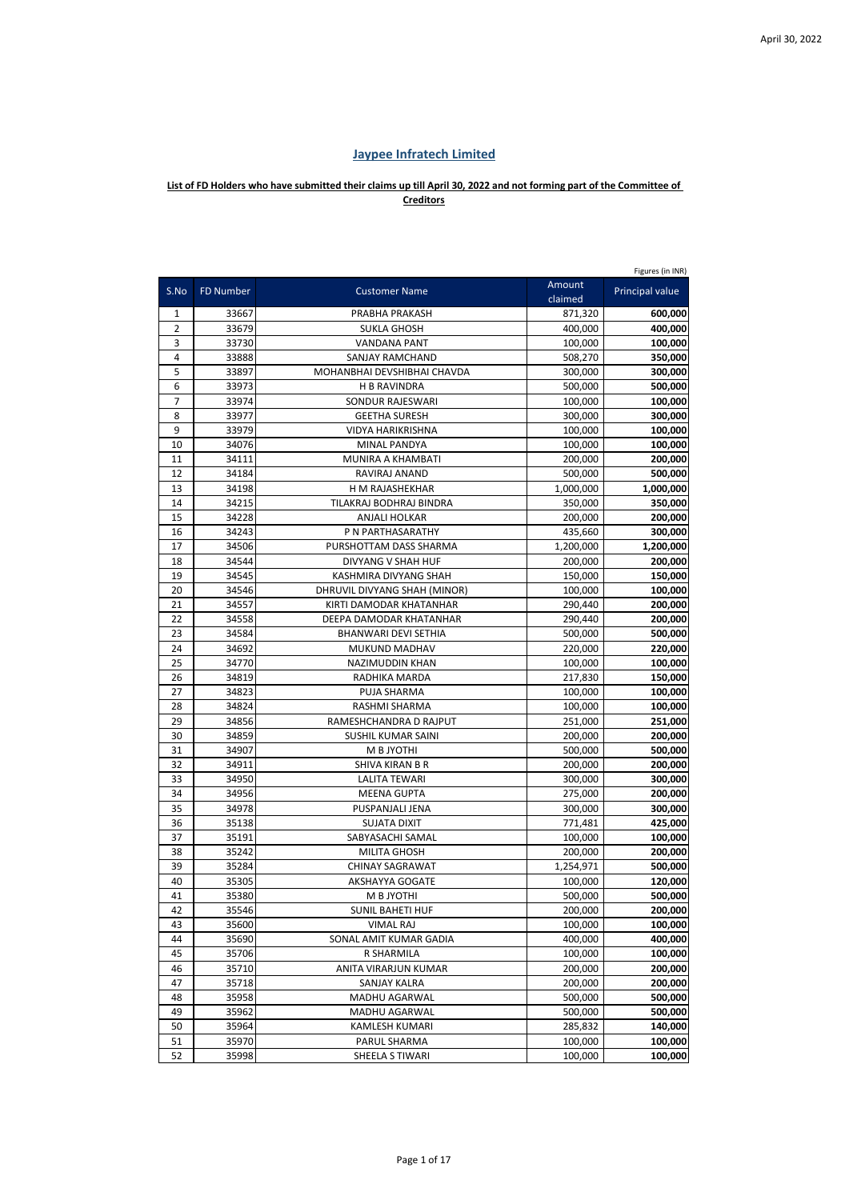## **Jaypee Infratech Limited**

## **List of FD Holders who have submitted their claims up till April 30, 2022 and not forming part of the Committee of Creditors**

|      |                  |                              |                   | Figures (in INR)       |
|------|------------------|------------------------------|-------------------|------------------------|
| S.No | <b>FD Number</b> | <b>Customer Name</b>         | Amount<br>claimed | <b>Principal value</b> |
| 1    | 33667            | PRABHA PRAKASH               | 871,320           | 600,000                |
| 2    | 33679            | <b>SUKLA GHOSH</b>           | 400,000           | 400,000                |
| 3    | 33730            | <b>VANDANA PANT</b>          | 100,000           | 100,000                |
| 4    | 33888            | SANJAY RAMCHAND              | 508,270           | 350,000                |
| 5    | 33897            | MOHANBHAI DEVSHIBHAI CHAVDA  | 300,000           | 300,000                |
| 6    | 33973            | <b>H B RAVINDRA</b>          | 500,000           | 500,000                |
| 7    | 33974            | SONDUR RAJESWARI             | 100,000           | 100,000                |
| 8    | 33977            | <b>GEETHA SURESH</b>         | 300,000           | 300,000                |
| 9    | 33979            | VIDYA HARIKRISHNA            | 100,000           | 100,000                |
| 10   | 34076            | <b>MINAL PANDYA</b>          | 100,000           | 100,000                |
| 11   | 34111            | MUNIRA A KHAMBATI            | 200,000           | 200,000                |
| 12   | 34184            | RAVIRAJ ANAND                | 500,000           | 500,000                |
| 13   | 34198            | H M RAJASHEKHAR              | 1,000,000         | 1,000,000              |
| 14   | 34215            | TILAKRAJ BODHRAJ BINDRA      | 350,000           | 350,000                |
| 15   | 34228            | <b>ANJALI HOLKAR</b>         | 200,000           | 200,000                |
| 16   | 34243            | P N PARTHASARATHY            | 435,660           | 300,000                |
| 17   | 34506            | PURSHOTTAM DASS SHARMA       | 1,200,000         | 1,200,000              |
| 18   | 34544            | <b>DIVYANG V SHAH HUF</b>    | 200,000           | 200,000                |
| 19   | 34545            | KASHMIRA DIVYANG SHAH        | 150,000           | 150,000                |
| 20   | 34546            | DHRUVIL DIVYANG SHAH (MINOR) | 100,000           | 100,000                |
| 21   | 34557            | KIRTI DAMODAR KHATANHAR      | 290,440           | 200,000                |
| 22   | 34558            | DEEPA DAMODAR KHATANHAR      | 290,440           | 200,000                |
| 23   | 34584            | BHANWARI DEVI SETHIA         | 500,000           | 500,000                |
| 24   | 34692            | MUKUND MADHAV                | 220,000           | 220,000                |
| 25   | 34770            | NAZIMUDDIN KHAN              | 100,000           | 100,000                |
| 26   | 34819            | RADHIKA MARDA                | 217,830           | 150,000                |
| 27   | 34823            | PUJA SHARMA                  | 100,000           | 100,000                |
| 28   | 34824            | RASHMI SHARMA                | 100,000           | 100,000                |
| 29   | 34856            | RAMESHCHANDRA D RAJPUT       | 251,000           | 251,000                |
| 30   | 34859            | SUSHIL KUMAR SAINI           | 200,000           | 200,000                |
| 31   | 34907            | M B JYOTHI                   | 500,000           | 500,000                |
| 32   | 34911            | SHIVA KIRAN B R              | 200,000           | 200,000                |
| 33   | 34950            | <b>LALITA TEWARI</b>         | 300,000           | 300,000                |
| 34   | 34956            | <b>MEENA GUPTA</b>           | 275,000           | 200,000                |
| 35   | 34978            | PUSPANJALI JENA              | 300,000           | 300,000                |
| 36   | 35138            | <b>SUJATA DIXIT</b>          | 771,481           | 425,000                |
| 37   | 35191            | SABYASACHI SAMAL             | 100,000           | 100,000                |
| 38   | 35242            | <b>MILITA GHOSH</b>          | 200,000           | 200,000                |
| 39   | 35284            | <b>CHINAY SAGRAWAT</b>       | 1,254,971         | 500,000                |
| 40   | 35305            | AKSHAYYA GOGATE              | 100,000           | 120,000                |
| 41   | 35380            | M B JYOTHI                   | 500,000           | 500,000                |
| 42   | 35546            | SUNIL BAHETI HUF             | 200,000           | 200,000                |
| 43   | 35600            | <b>VIMAL RAJ</b>             | 100,000           | 100,000                |
| 44   | 35690            | SONAL AMIT KUMAR GADIA       | 400,000           | 400,000                |
| 45   | 35706            | R SHARMILA                   | 100,000           | 100,000                |
| 46   | 35710            | ANITA VIRARJUN KUMAR         | 200,000           | 200,000                |
| 47   | 35718            | SANJAY KALRA                 | 200,000           | 200,000                |
| 48   | 35958            | MADHU AGARWAL                | 500,000           | 500,000                |
| 49   | 35962            | MADHU AGARWAL                | 500,000           | 500,000                |
| 50   | 35964            | KAMLESH KUMARI               | 285,832           | 140,000                |
| 51   | 35970            | PARUL SHARMA                 | 100,000           | 100,000                |
| 52   | 35998            | SHEELA S TIWARI              | 100,000           | 100,000                |
|      |                  |                              |                   |                        |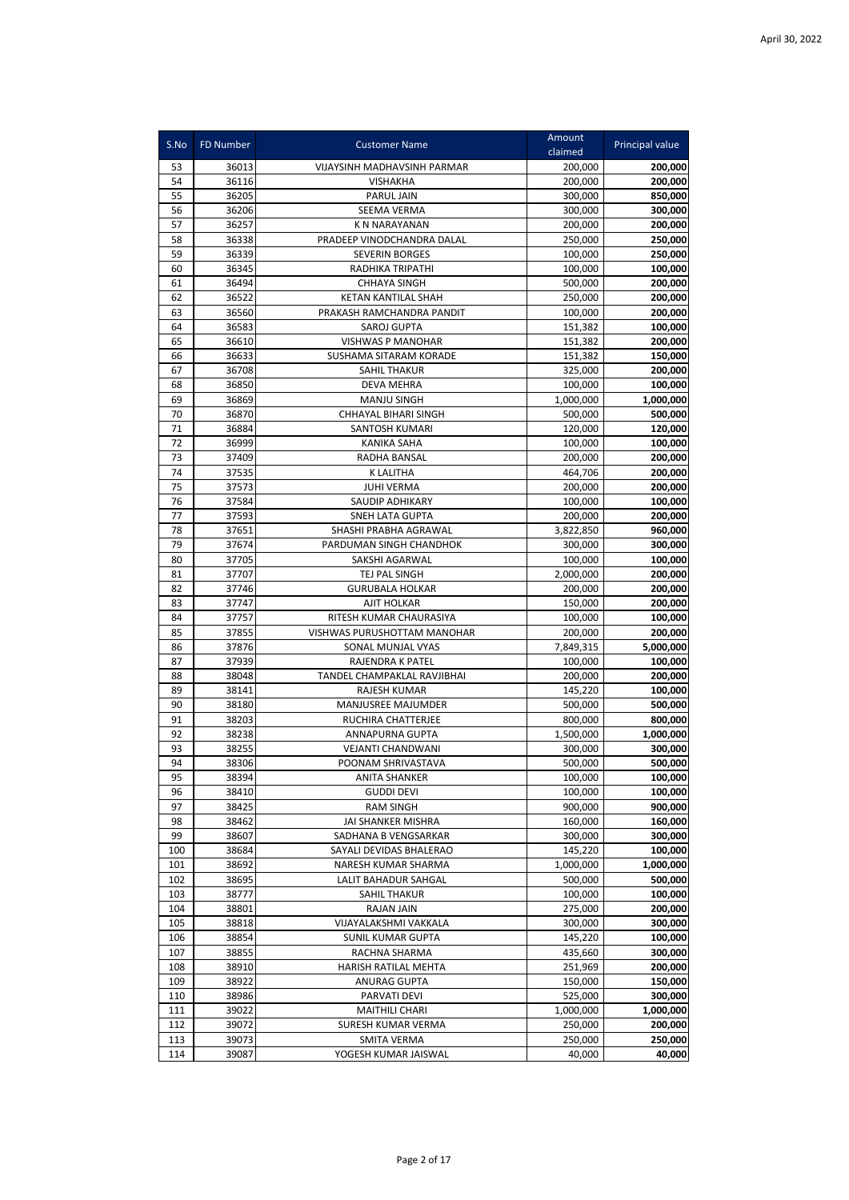| S.No       | <b>FD Number</b> | <b>Customer Name</b>                    | Amount<br>claimed    | Principal value    |
|------------|------------------|-----------------------------------------|----------------------|--------------------|
|            | 36013            | VIJAYSINH MADHAVSINH PARMAR             |                      |                    |
| 53<br>54   | 36116            | <b>VISHAKHA</b>                         | 200,000<br>200,000   | 200,000<br>200,000 |
| 55         | 36205            | PARUL JAIN                              | 300,000              | 850,000            |
| 56         | 36206            | SEEMA VERMA                             | 300,000              | 300.000            |
| 57         | 36257            | <b>KN NARAYANAN</b>                     | 200,000              | 200,000            |
| 58         | 36338            | PRADEEP VINODCHANDRA DALAL              | 250,000              | 250,000            |
| 59         | 36339            | <b>SEVERIN BORGES</b>                   | 100,000              | 250,000            |
| 60         | 36345            | RADHIKA TRIPATHI                        | 100,000              | 100,000            |
| 61         | 36494            | <b>CHHAYA SINGH</b>                     | 500,000              | 200,000            |
| 62         | 36522            | <b>KETAN KANTILAL SHAH</b>              | 250,000              | 200,000            |
| 63         | 36560            | PRAKASH RAMCHANDRA PANDIT               | 100,000              | 200,000            |
| 64         | 36583            | SAROJ GUPTA                             | 151,382              | 100,000            |
| 65         | 36610            | VISHWAS P MANOHAR                       | 151,382              | 200,000            |
| 66         | 36633            | SUSHAMA SITARAM KORADE                  | 151,382              | 150,000            |
| 67         | 36708            | <b>SAHIL THAKUR</b>                     | 325,000              | 200,000            |
| 68         | 36850            | <b>DEVA MEHRA</b>                       | 100,000              | 100,000            |
| 69         | 36869            | <b>MANJU SINGH</b>                      | 1,000,000            | 1,000,000          |
| 70         | 36870            | CHHAYAL BIHARI SINGH                    | 500,000              | 500,000            |
| 71         | 36884            | SANTOSH KUMARI                          | 120,000              | 120,000            |
| 72         | 36999            | <b>KANIKA SAHA</b>                      | 100,000              | 100,000            |
| 73         | 37409            | RADHA BANSAL                            | 200,000              | 200,000            |
| 74         | 37535            | <b>K LALITHA</b>                        | 464,706              | 200,000            |
| 75         | 37573            | <b>JUHI VERMA</b>                       | 200,000              | 200,000            |
| 76         | 37584            | <b>SAUDIP ADHIKARY</b>                  | 100,000              | 100,000            |
| 77         | 37593            | <b>SNEH LATA GUPTA</b>                  | 200,000              | 200,000            |
| 78         | 37651            | SHASHI PRABHA AGRAWAL                   | 3,822,850            | 960,000            |
| 79         | 37674            | PARDUMAN SINGH CHANDHOK                 | 300,000              | 300,000            |
| 80         | 37705            | SAKSHI AGARWAL                          | 100,000              | 100,000            |
| 81<br>82   | 37707<br>37746   | TEJ PAL SINGH<br><b>GURUBALA HOLKAR</b> | 2,000,000<br>200,000 | 200,000<br>200,000 |
| 83         | 37747            | <b>AJIT HOLKAR</b>                      | 150,000              | 200,000            |
| 84         | 37757            | RITESH KUMAR CHAURASIYA                 | 100,000              | 100,000            |
| 85         | 37855            | VISHWAS PURUSHOTTAM MANOHAR             | 200,000              | 200,000            |
| 86         | 37876            | SONAL MUNJAL VYAS                       | 7,849,315            | 5,000,000          |
| 87         | 37939            | RAJENDRA K PATEL                        | 100,000              | 100,000            |
| 88         | 38048            | TANDEL CHAMPAKLAL RAVJIBHAI             | 200,000              | 200,000            |
| 89         | 38141            | <b>RAJESH KUMAR</b>                     | 145,220              | 100,000            |
| 90         | 38180            | MANJUSREE MAJUMDER                      | 500,000              | 500,000            |
| 91         | 38203            | RUCHIRA CHATTERJEE                      | 800,000              | 800,000            |
| 92         | 38238            | <b>ANNAPURNA GUPTA</b>                  | 1,500,000            | 1,000,000          |
| 93         | 38255            | VEJANTI CHANDWANI                       | 300,000              | 300,000            |
| 94         | 38306            | POONAM SHRIVASTAVA                      | 500,000              | 500,000            |
| 95         | 38394            | <b>ANITA SHANKER</b>                    | 100,000              | 100,000            |
| 96         | 38410            | <b>GUDDI DEVI</b>                       | 100,000              | 100,000            |
| 97         | 38425            | <b>RAM SINGH</b>                        | 900,000              | 900,000            |
| 98         | 38462            | JAI SHANKER MISHRA                      | 160,000              | 160,000            |
| 99         | 38607            | SADHANA B VENGSARKAR                    | 300,000              | 300,000            |
| 100        | 38684            | SAYALI DEVIDAS BHALERAO                 | 145,220              | 100,000            |
| 101        | 38692            | NARESH KUMAR SHARMA                     | 1,000,000            | 1,000,000          |
| 102        | 38695            | <b>LALIT BAHADUR SAHGAL</b>             | 500,000              | 500,000            |
| 103        | 38777            | <b>SAHIL THAKUR</b>                     | 100,000              | 100,000            |
| 104<br>105 | 38801            | RAJAN JAIN<br>VIJAYALAKSHMI VAKKALA     | 275,000              | 200,000<br>300,000 |
| 106        | 38818<br>38854   | <b>SUNIL KUMAR GUPTA</b>                | 300,000<br>145,220   | 100,000            |
| 107        | 38855            | RACHNA SHARMA                           | 435,660              | 300,000            |
| 108        | 38910            | HARISH RATILAL MEHTA                    | 251,969              | 200,000            |
| 109        | 38922            | ANURAG GUPTA                            | 150,000              | 150,000            |
| 110        | 38986            | PARVATI DEVI                            | 525,000              | 300,000            |
| 111        | 39022            | <b>MAITHILI CHARI</b>                   | 1,000,000            | 1,000,000          |
| 112        | 39072            | SURESH KUMAR VERMA                      | 250,000              | 200,000            |
| 113        | 39073            | SMITA VERMA                             | 250,000              | 250,000            |
| 114        | 39087            | YOGESH KUMAR JAISWAL                    | 40,000               | 40,000             |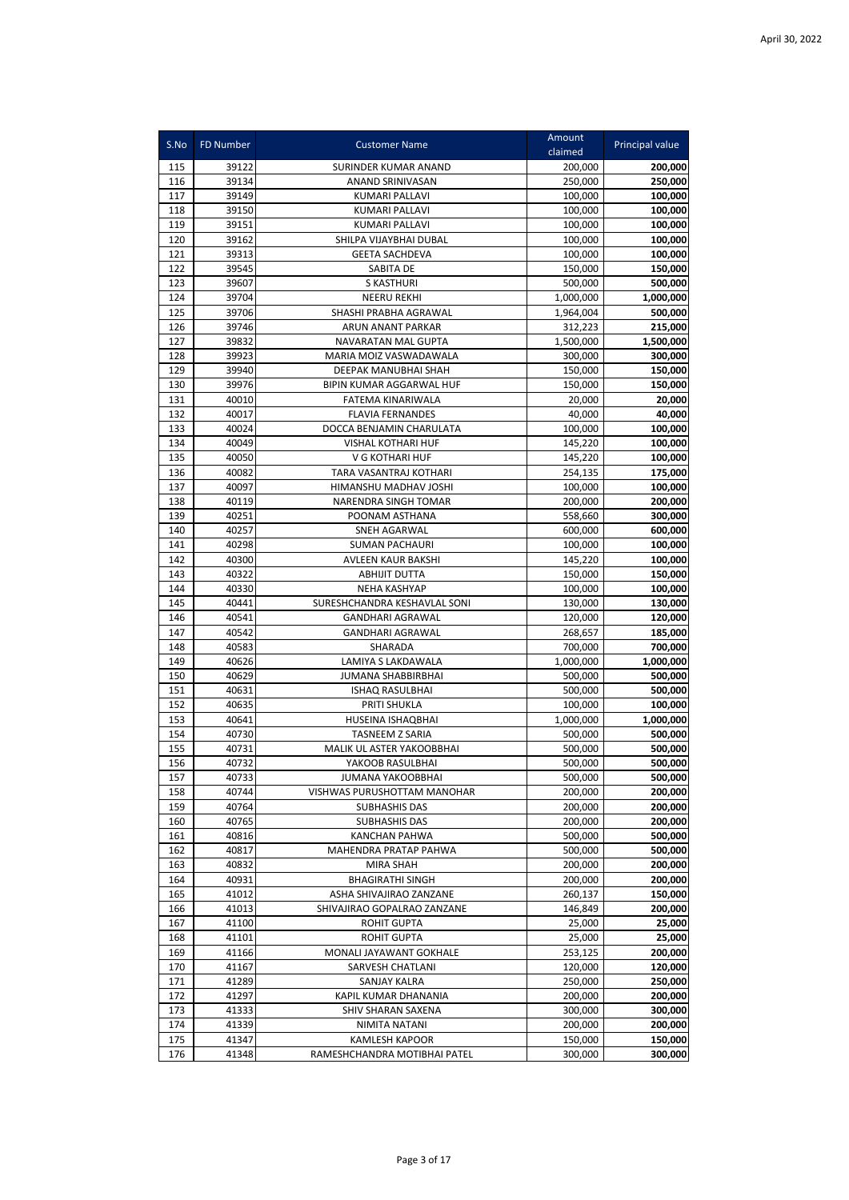|            | <b>FD Number</b> |                                                 | Amount             |                        |
|------------|------------------|-------------------------------------------------|--------------------|------------------------|
| S.No       |                  | <b>Customer Name</b>                            | claimed            | <b>Principal value</b> |
| 115        | 39122            | SURINDER KUMAR ANAND                            | 200,000            | 200,000                |
| 116        | 39134            | ANAND SRINIVASAN                                | 250,000            | 250,000                |
| 117        | 39149            | <b>KUMARI PALLAVI</b>                           | 100,000            | 100,000                |
| 118        | 39150            | <b>KUMARI PALLAVI</b>                           | 100,000            | 100,000                |
| 119        | 39151            | <b>KUMARI PALLAVI</b>                           | 100,000            | 100.000                |
| 120        | 39162            | SHILPA VIJAYBHAI DUBAL                          | 100,000            | 100,000                |
| 121        | 39313            | <b>GEETA SACHDEVA</b>                           | 100,000            | 100,000                |
| 122        | 39545            | SABITA DE                                       | 150.000            | 150,000                |
| 123        | 39607            | S KASTHURI                                      | 500,000            | 500,000                |
| 124        | 39704            | <b>NEERU REKHI</b>                              | 1,000,000          | 1,000,000              |
| 125        | 39706            | SHASHI PRABHA AGRAWAL                           | 1,964,004          | 500,000                |
| 126        | 39746            | ARUN ANANT PARKAR                               | 312,223            | 215,000                |
| 127        | 39832            | NAVARATAN MAL GUPTA                             | 1,500,000          | 1,500,000              |
| 128        | 39923            | MARIA MOIZ VASWADAWALA                          | 300,000            | 300,000                |
| 129        | 39940            | DEEPAK MANUBHAI SHAH                            | 150,000            | 150,000                |
| 130        | 39976            | BIPIN KUMAR AGGARWAL HUF                        | 150,000            | 150,000                |
| 131        | 40010            | FATEMA KINARIWALA                               | 20,000             | 20,000                 |
| 132        | 40017            | <b>FLAVIA FERNANDES</b>                         | 40,000             | 40,000                 |
| 133        | 40024            | DOCCA BENJAMIN CHARULATA                        | 100,000            | 100,000                |
| 134        | 40049            | <b>VISHAL KOTHARI HUF</b>                       | 145,220            | 100,000                |
| 135        | 40050            | V G KOTHARI HUF                                 | 145,220            | 100,000                |
| 136<br>137 | 40082<br>40097   | TARA VASANTRAJ KOTHARI<br>HIMANSHU MADHAV JOSHI | 254,135            | 175,000                |
| 138        | 40119            | NARENDRA SINGH TOMAR                            | 100,000<br>200,000 | 100,000<br>200,000     |
| 139        | 40251            | POONAM ASTHANA                                  | 558,660            | 300,000                |
| 140        | 40257            | SNEH AGARWAL                                    | 600,000            | 600,000                |
| 141        | 40298            | <b>SUMAN PACHAURI</b>                           | 100,000            | 100,000                |
| 142        | 40300            | AVLEEN KAUR BAKSHI                              | 145,220            | 100,000                |
| 143        | 40322            | <b>ABHIJIT DUTTA</b>                            | 150,000            | 150,000                |
| 144        | 40330            | <b>NEHA KASHYAP</b>                             | 100,000            | 100,000                |
| 145        | 40441            | SURESHCHANDRA KESHAVLAL SONI                    | 130,000            | 130,000                |
| 146        | 40541            | <b>GANDHARI AGRAWAL</b>                         | 120,000            | 120,000                |
| 147        | 40542            | <b>GANDHARI AGRAWAL</b>                         | 268,657            | 185,000                |
| 148        | 40583            | SHARADA                                         | 700,000            | 700,000                |
| 149        | 40626            | LAMIYA S LAKDAWALA                              | 1,000,000          | 1,000,000              |
| 150        | 40629            | JUMANA SHABBIRBHAI                              | 500,000            | 500,000                |
| 151        | 40631            | <b>ISHAQ RASULBHAI</b>                          | 500,000            | 500,000                |
| 152        | 40635            | PRITI SHUKLA                                    | 100,000            | 100,000                |
| 153        | 40641            | HUSEINA ISHAQBHAI                               | 1,000,000          | 1,000,000              |
| 154        | 40730            | <b>TASNEEM Z SARIA</b>                          | 500,000            | 500,000                |
| 155        | 40731            | MALIK UL ASTER YAKOOBBHAI                       | 500,000            | 500,000                |
| 156        | 40732            | YAKOOB RASULBHAI                                | 500,000            | 500,000                |
| 157        | 40733            | <b>JUMANA YAKOOBBHAI</b>                        | 500,000            | 500,000                |
| 158        | 40744            | VISHWAS PURUSHOTTAM MANOHAR                     | 200,000            | 200,000                |
| 159        | 40764            | SUBHASHIS DAS                                   | 200,000            | 200,000                |
| 160        | 40765            | SUBHASHIS DAS                                   | 200,000            | 200,000                |
| 161        | 40816            | <b>KANCHAN PAHWA</b>                            | 500,000            | 500,000                |
| 162        | 40817            | MAHENDRA PRATAP PAHWA                           | 500,000            | 500,000                |
| 163        | 40832            | MIRA SHAH                                       | 200,000            | 200,000                |
| 164        | 40931            | <b>BHAGIRATHI SINGH</b>                         | 200,000            | 200,000                |
| 165        | 41012            | ASHA SHIVAJIRAO ZANZANE                         | 260,137            | 150,000                |
| 166<br>167 | 41013            | SHIVAJIRAO GOPALRAO ZANZANE                     | 146,849            | 200,000                |
| 168        | 41100<br>41101   | <b>ROHIT GUPTA</b><br><b>ROHIT GUPTA</b>        | 25,000<br>25,000   | 25,000<br>25,000       |
| 169        | 41166            | MONALI JAYAWANT GOKHALE                         | 253,125            | 200,000                |
| 170        | 41167            | SARVESH CHATLANI                                | 120,000            | 120,000                |
| 171        | 41289            | SANJAY KALRA                                    | 250,000            | 250,000                |
| 172        | 41297            | KAPIL KUMAR DHANANIA                            | 200,000            | 200,000                |
| 173        | 41333            | SHIV SHARAN SAXENA                              | 300,000            | 300,000                |
| 174        | 41339            | NIMITA NATANI                                   | 200,000            | 200,000                |
| 175        | 41347            | <b>KAMLESH KAPOOR</b>                           | 150,000            | 150,000                |
| 176        | 41348            | RAMESHCHANDRA MOTIBHAI PATEL                    | 300,000            | 300,000                |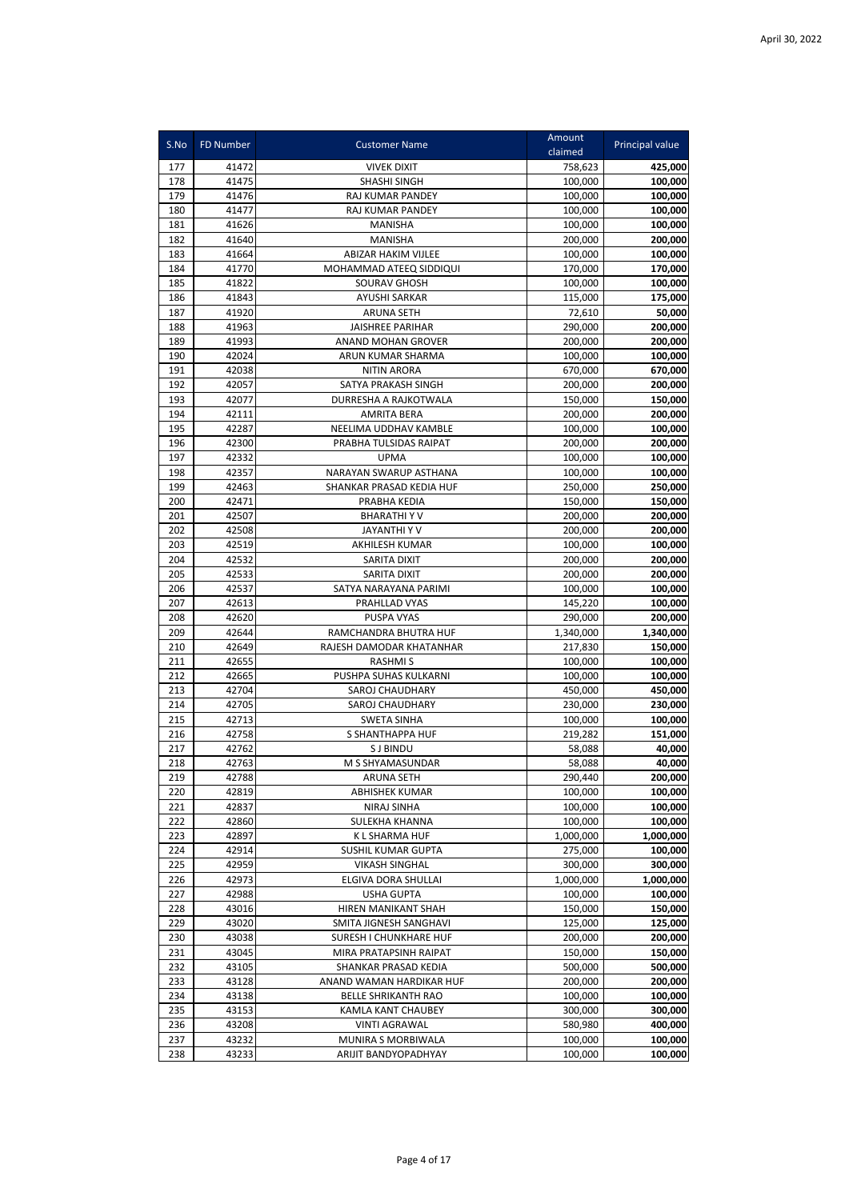| S.No       | <b>FD Number</b> | <b>Customer Name</b>                       | Amount<br>claimed  | Principal value    |
|------------|------------------|--------------------------------------------|--------------------|--------------------|
| 177        | 41472            | <b>VIVEK DIXIT</b>                         | 758,623            | 425,000            |
| 178        | 41475            | SHASHI SINGH                               | 100,000            | 100,000            |
| 179        | 41476            | RAJ KUMAR PANDEY                           | 100,000            | 100,000            |
| 180        | 41477            | RAJ KUMAR PANDEY                           | 100,000            | 100,000            |
| 181        | 41626            | <b>MANISHA</b>                             | 100,000            | 100,000            |
| 182        | 41640            | <b>MANISHA</b>                             | 200,000            | 200,000            |
| 183        | 41664            | ABIZAR HAKIM VIJLEE                        | 100,000            | 100,000            |
| 184        | 41770            | MOHAMMAD ATEEQ SIDDIQUI                    | 170,000            | 170,000            |
| 185        | 41822            | SOURAV GHOSH                               | 100,000            | 100,000            |
| 186        | 41843            | <b>AYUSHI SARKAR</b>                       | 115,000            | 175,000            |
| 187        | 41920            | <b>ARUNA SETH</b>                          | 72,610             | 50,000             |
| 188        | 41963            | <b>JAISHREE PARIHAR</b>                    | 290,000            | 200,000            |
| 189        | 41993            | ANAND MOHAN GROVER                         | 200,000            | 200,000            |
| 190        | 42024            | ARUN KUMAR SHARMA                          | 100,000            | 100,000            |
| 191        | 42038            | <b>NITIN ARORA</b>                         | 670,000            | 670,000            |
| 192        | 42057            | SATYA PRAKASH SINGH                        | 200,000            | 200,000            |
| 193        | 42077            | DURRESHA A RAJKOTWALA                      | 150,000            | 150,000            |
| 194        | 42111            | <b>AMRITA BERA</b>                         | 200,000            | 200,000            |
| 195        | 42287            | NEELIMA UDDHAV KAMBLE                      | 100,000            | 100,000            |
| 196<br>197 | 42300<br>42332   | PRABHA TULSIDAS RAIPAT<br><b>UPMA</b>      | 200,000<br>100,000 | 200,000<br>100,000 |
| 198        | 42357            | NARAYAN SWARUP ASTHANA                     | 100,000            | 100,000            |
| 199        | 42463            | SHANKAR PRASAD KEDIA HUF                   | 250,000            | 250,000            |
| 200        | 42471            | PRABHA KEDIA                               | 150,000            | 150,000            |
| 201        | 42507            | <b>BHARATHIYV</b>                          | 200,000            | 200,000            |
| 202        | 42508            | JAYANTHI Y V                               | 200,000            | 200,000            |
| 203        | 42519            | <b>AKHILESH KUMAR</b>                      | 100,000            | 100,000            |
| 204        | 42532            | SARITA DIXIT                               | 200,000            | 200,000            |
| 205        | 42533            | SARITA DIXIT                               | 200,000            | 200,000            |
| 206        | 42537            | SATYA NARAYANA PARIMI                      | 100,000            | 100,000            |
| 207        | 42613            | PRAHLLAD VYAS                              | 145,220            | 100,000            |
| 208        | 42620            | <b>PUSPA VYAS</b>                          | 290,000            | 200,000            |
| 209        | 42644            | RAMCHANDRA BHUTRA HUF                      | 1,340,000          | 1,340,000          |
| 210        | 42649            | RAJESH DAMODAR KHATANHAR                   | 217,830            | 150,000            |
| 211        | 42655            | <b>RASHMIS</b>                             | 100,000            | 100,000            |
| 212        | 42665            | PUSHPA SUHAS KULKARNI                      | 100,000            | 100,000            |
| 213        | 42704            | SAROJ CHAUDHARY                            | 450,000            | 450,000            |
| 214        | 42705            | SAROJ CHAUDHARY                            | 230,000            | 230,000            |
| 215        | 42713            | <b>SWETA SINHA</b>                         | 100,000            | 100,000            |
| 216        | 42758            | S SHANTHAPPA HUF                           | 219,282            | 151,000            |
| 217        | 42762            | <b>SJ BINDU</b>                            | 58,088             | 40,000             |
| 218        | 42763            | M S SHYAMASUNDAR                           | 58,088             | 40,000             |
| 219<br>220 | 42788<br>42819   | <b>ARUNA SETH</b><br><b>ABHISHEK KUMAR</b> | 290,440<br>100,000 | 200,000<br>100,000 |
| 221        | 42837            | NIRAJ SINHA                                | 100,000            | 100,000            |
| 222        | 42860            | SULEKHA KHANNA                             | 100,000            | 100,000            |
| 223        | 42897            | K L SHARMA HUF                             | 1,000,000          | 1,000,000          |
| 224        | 42914            | SUSHIL KUMAR GUPTA                         | 275,000            | 100,000            |
| 225        | 42959            | <b>VIKASH SINGHAL</b>                      | 300,000            | 300,000            |
| 226        | 42973            | ELGIVA DORA SHULLAI                        | 1,000,000          | 1,000,000          |
| 227        | 42988            | <b>USHA GUPTA</b>                          | 100,000            | 100,000            |
| 228        | 43016            | HIREN MANIKANT SHAH                        | 150,000            | 150,000            |
| 229        | 43020            | SMITA JIGNESH SANGHAVI                     | 125,000            | 125,000            |
| 230        | 43038            | SURESH I CHUNKHARE HUF                     | 200,000            | 200,000            |
| 231        | 43045            | MIRA PRATAPSINH RAIPAT                     | 150,000            | 150,000            |
| 232        | 43105            | SHANKAR PRASAD KEDIA                       | 500,000            | 500,000            |
| 233        | 43128            | ANAND WAMAN HARDIKAR HUF                   | 200,000            | 200,000            |
| 234        | 43138            | <b>BELLE SHRIKANTH RAO</b>                 | 100,000            | 100,000            |
| 235        | 43153            | KAMLA KANT CHAUBEY                         | 300,000            | 300,000            |
| 236        | 43208            | <b>VINTI AGRAWAL</b>                       | 580,980            | 400,000            |
| 237        | 43232            | MUNIRA S MORBIWALA                         | 100,000            | 100,000            |
| 238        | 43233            | ARIJIT BANDYOPADHYAY                       | 100,000            | 100,000            |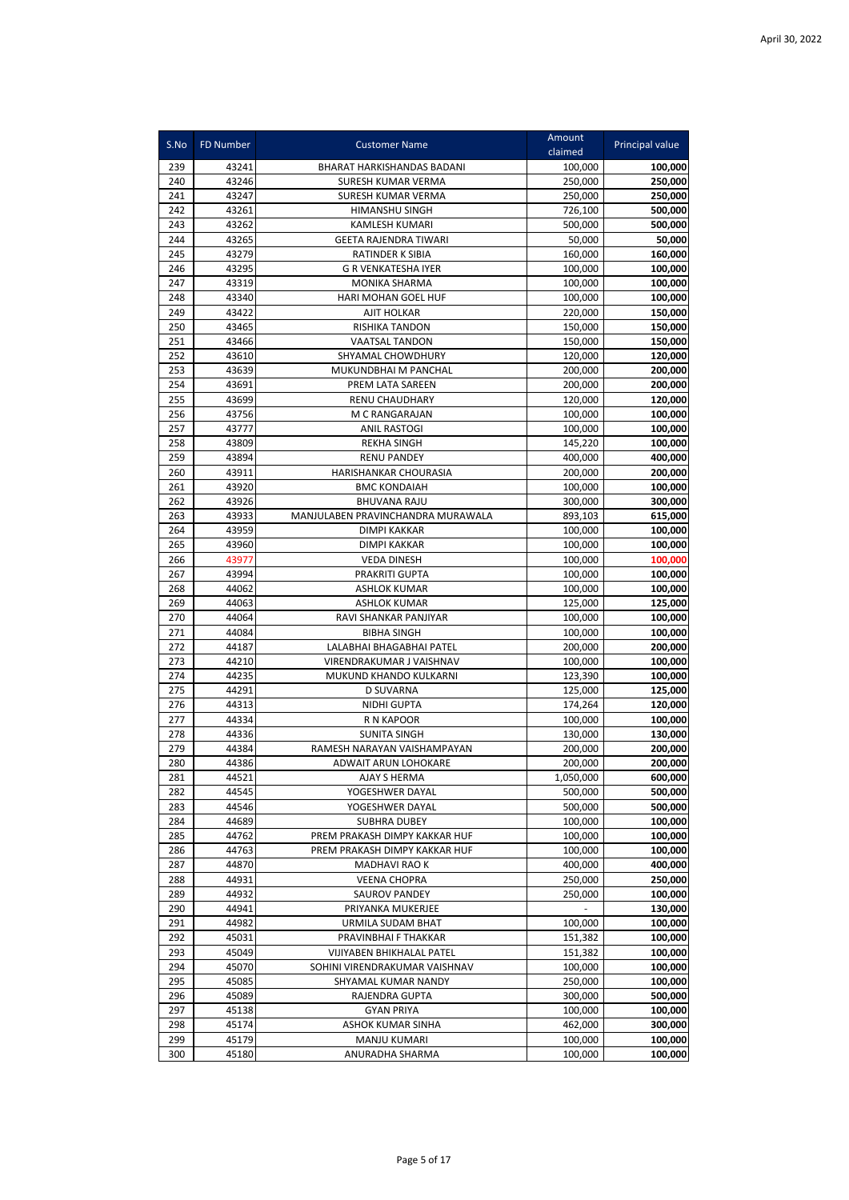| S.No       | <b>FD Number</b> | <b>Customer Name</b>                       | Amount<br>claimed  | Principal value    |
|------------|------------------|--------------------------------------------|--------------------|--------------------|
| 239        | 43241            | BHARAT HARKISHANDAS BADANI                 | 100,000            | 100,000            |
| 240        | 43246            | SURESH KUMAR VERMA                         | 250,000            | 250,000            |
| 241        | 43247            | SURESH KUMAR VERMA                         | 250,000            | 250,000            |
| 242        | 43261            | HIMANSHU SINGH                             | 726,100            | 500,000            |
| 243        | 43262            | <b>KAMLESH KUMARI</b>                      | 500,000            | 500,000            |
| 244        | 43265            | <b>GEETA RAJENDRA TIWARI</b>               | 50,000             | 50,000             |
| 245        | 43279            | <b>RATINDER K SIBIA</b>                    | 160,000            | 160,000            |
| 246        | 43295            | <b>G R VENKATESHA IYER</b>                 | 100,000            | 100,000            |
| 247        | 43319            | <b>MONIKA SHARMA</b>                       | 100.000            | 100,000            |
| 248        | 43340            | HARI MOHAN GOEL HUF                        | 100,000            | 100,000            |
| 249        | 43422            | <b>AJIT HOLKAR</b>                         | 220,000            | 150,000            |
| 250        | 43465            | RISHIKA TANDON                             | 150,000            | 150,000            |
| 251        | 43466            | <b>VAATSAL TANDON</b>                      | 150,000            | 150,000            |
| 252        | 43610            | SHYAMAL CHOWDHURY                          | 120,000            | 120,000            |
| 253        | 43639            | MUKUNDBHAI M PANCHAL                       | 200,000            | 200,000            |
| 254        | 43691            | PREM LATA SAREEN                           | 200,000            | 200,000            |
| 255        | 43699            | <b>RENU CHAUDHARY</b>                      | 120,000            | 120,000            |
| 256        | 43756            | M C RANGARAJAN                             | 100,000            | 100,000            |
| 257        | 43777            | <b>ANIL RASTOGI</b>                        | 100,000            | 100,000            |
| 258        | 43809            | <b>REKHA SINGH</b>                         | 145,220            | 100,000            |
| 259        | 43894            | <b>RENU PANDEY</b>                         | 400.000            | 400,000            |
| 260        | 43911            | HARISHANKAR CHOURASIA                      | 200,000            | 200,000            |
| 261        | 43920            | <b>BMC KONDAIAH</b>                        | 100,000            | 100,000            |
| 262        | 43926            | <b>BHUVANA RAJU</b>                        | 300,000            | 300,000            |
| 263<br>264 | 43933            | MANJULABEN PRAVINCHANDRA MURAWALA          | 893,103            | 615,000            |
| 265        | 43959<br>43960   | <b>DIMPI KAKKAR</b><br><b>DIMPI KAKKAR</b> | 100,000            | 100,000            |
| 266        | 43977            | <b>VEDA DINESH</b>                         | 100,000<br>100,000 | 100,000<br>100,000 |
| 267        | 43994            | PRAKRITI GUPTA                             | 100,000            | 100,000            |
| 268        | 44062            | <b>ASHLOK KUMAR</b>                        | 100,000            | 100,000            |
| 269        | 44063            | <b>ASHLOK KUMAR</b>                        | 125,000            | 125,000            |
| 270        | 44064            | RAVI SHANKAR PANJIYAR                      | 100,000            | 100,000            |
| 271        | 44084            | <b>BIBHA SINGH</b>                         | 100,000            | 100,000            |
| 272        | 44187            | LALABHAI BHAGABHAI PATEL                   | 200,000            | 200,000            |
| 273        | 44210            | VIRENDRAKUMAR J VAISHNAV                   | 100,000            | 100,000            |
| 274        | 44235            | MUKUND KHANDO KULKARNI                     | 123,390            | 100,000            |
| 275        | 44291            | <b>D SUVARNA</b>                           | 125,000            | 125,000            |
| 276        | 44313            | <b>NIDHI GUPTA</b>                         | 174.264            | 120,000            |
| 277        | 44334            | R N KAPOOR                                 | 100,000            | 100,000            |
| 278        | 44336            | <b>SUNITA SINGH</b>                        | 130,000            | 130,000            |
| 279        | 44384            | RAMESH NARAYAN VAISHAMPAYAN                | 200,000            | 200,000            |
| 280        | 44386            | ADWAIT ARUN LOHOKARE                       | 200,000            | 200,000            |
| 281        | 44521            | AJAY S HERMA                               | 1,050,000          | 600,000            |
| 282        | 44545            | YOGESHWER DAYAL                            | 500,000            | 500,000            |
| 283        | 44546            | YOGESHWER DAYAL                            | 500,000            | 500,000            |
| 284        | 44689            | <b>SUBHRA DUBEY</b>                        | 100,000            | 100,000            |
| 285        | 44762            | PREM PRAKASH DIMPY KAKKAR HUF              | 100,000            | 100,000            |
| 286        | 44763            | PREM PRAKASH DIMPY KAKKAR HUF              | 100,000            | 100,000            |
| 287        | 44870            | <b>MADHAVI RAO K</b>                       | 400,000            | 400,000            |
| 288        | 44931            | <b>VEENA CHOPRA</b>                        | 250,000            | 250,000            |
| 289        | 44932            | <b>SAUROV PANDEY</b>                       | 250,000            | 100,000            |
| 290        | 44941            | PRIYANKA MUKERJEE                          |                    | 130,000            |
| 291<br>292 | 44982<br>45031   | URMILA SUDAM BHAT<br>PRAVINBHAI F THAKKAR  | 100,000<br>151,382 | 100,000<br>100,000 |
| 293        | 45049            | VIJIYABEN BHIKHALAL PATEL                  | 151,382            | 100,000            |
| 294        | 45070            | SOHINI VIRENDRAKUMAR VAISHNAV              | 100,000            | 100,000            |
| 295        | 45085            | SHYAMAL KUMAR NANDY                        | 250,000            | 100,000            |
| 296        | 45089            | RAJENDRA GUPTA                             | 300,000            | 500,000            |
| 297        | 45138            | <b>GYAN PRIYA</b>                          | 100,000            | 100,000            |
| 298        | 45174            | ASHOK KUMAR SINHA                          | 462,000            | 300,000            |
| 299        | 45179            | <b>MANJU KUMARI</b>                        | 100,000            | 100,000            |
| 300        | 45180            | ANURADHA SHARMA                            | 100,000            | 100,000            |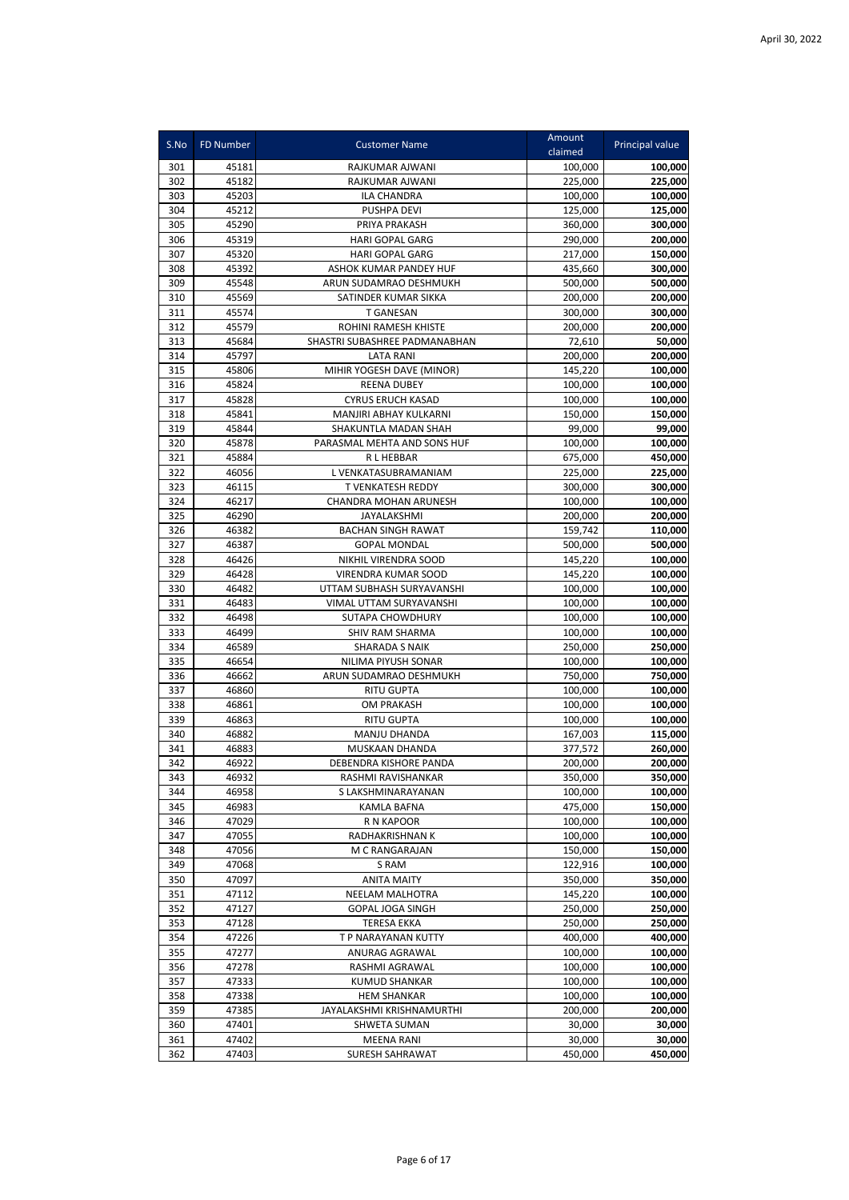| S.No       | FD Number      | <b>Customer Name</b>                         | Amount<br>claimed  | Principal value    |
|------------|----------------|----------------------------------------------|--------------------|--------------------|
| 301        | 45181          | RAJKUMAR AJWANI                              | 100,000            | 100,000            |
| 302        | 45182          | RAJKUMAR AJWANI                              | 225.000            | 225,000            |
| 303        | 45203          | ILA CHANDRA                                  | 100,000            | 100,000            |
| 304        | 45212          | <b>PUSHPA DEVI</b>                           | 125,000            | 125,000            |
| 305        | 45290          | PRIYA PRAKASH                                | 360,000            | 300,000            |
| 306        | 45319          | HARI GOPAL GARG                              | 290,000            | 200,000            |
| 307        | 45320          | <b>HARI GOPAL GARG</b>                       | 217,000            | 150,000            |
| 308        | 45392          | <b>ASHOK KUMAR PANDEY HUF</b>                | 435,660            | 300,000            |
| 309        | 45548          | ARUN SUDAMRAO DESHMUKH                       | 500,000            | 500,000            |
| 310        | 45569          | SATINDER KUMAR SIKKA                         | 200,000            | 200,000            |
| 311        | 45574          | <b>T GANESAN</b>                             | 300,000            | 300,000            |
| 312        | 45579          | ROHINI RAMESH KHISTE                         | 200,000            | 200,000            |
| 313        | 45684          | SHASTRI SUBASHREE PADMANABHAN                | 72,610             | 50,000             |
| 314        | 45797          | <b>LATA RANI</b>                             | 200,000            | 200,000            |
| 315        | 45806          | MIHIR YOGESH DAVE (MINOR)                    | 145,220            | 100,000            |
| 316        | 45824          | <b>REENA DUBEY</b>                           | 100,000            | 100,000            |
| 317        | 45828          | <b>CYRUS ERUCH KASAD</b>                     | 100,000            | 100,000            |
| 318        | 45841          | MANJIRI ABHAY KULKARNI                       | 150,000            | 150,000            |
| 319        | 45844          | SHAKUNTLA MADAN SHAH                         | 99,000             | 99,000             |
| 320        | 45878          | PARASMAL MEHTA AND SONS HUF                  | 100,000            | 100,000            |
| 321        | 45884          | <b>RLHEBBAR</b>                              | 675,000            | 450,000            |
| 322        | 46056          | L VENKATASUBRAMANIAM                         | 225,000            | 225,000            |
| 323        | 46115          | T VENKATESH REDDY                            | 300,000            | 300,000            |
| 324<br>325 | 46217<br>46290 | CHANDRA MOHAN ARUNESH<br>JAYALAKSHMI         | 100,000            | 100,000<br>200,000 |
| 326        | 46382          | <b>BACHAN SINGH RAWAT</b>                    | 200,000<br>159,742 |                    |
| 327        | 46387          | <b>GOPAL MONDAL</b>                          | 500,000            | 110,000<br>500,000 |
| 328        | 46426          | NIKHIL VIRENDRA SOOD                         | 145,220            | 100,000            |
| 329        | 46428          | <b>VIRENDRA KUMAR SOOD</b>                   | 145,220            | 100,000            |
| 330        | 46482          | UTTAM SUBHASH SURYAVANSHI                    | 100,000            | 100,000            |
| 331        | 46483          | VIMAL UTTAM SURYAVANSHI                      | 100,000            | 100,000            |
| 332        | 46498          | SUTAPA CHOWDHURY                             | 100,000            | 100,000            |
| 333        | 46499          | SHIV RAM SHARMA                              | 100,000            | 100,000            |
| 334        | 46589          | SHARADA S NAIK                               | 250,000            | 250,000            |
| 335        | 46654          | NILIMA PIYUSH SONAR                          | 100,000            | 100,000            |
| 336        | 46662          | ARUN SUDAMRAO DESHMUKH                       | 750,000            | 750,000            |
| 337        | 46860          | <b>RITU GUPTA</b>                            | 100,000            | 100,000            |
| 338        | 46861          | OM PRAKASH                                   | 100,000            | 100,000            |
| 339        | 46863          | <b>RITU GUPTA</b>                            | 100,000            | 100,000            |
| 340        | 46882          | MANJU DHANDA                                 | 167,003            | 115,000            |
| 341        | 46883          | MUSKAAN DHANDA                               | 377,572            | 260,000            |
| 342        | 46922          | DEBENDRA KISHORE PANDA                       | 200,000            | 200,000            |
| 343        | 46932          | RASHMI RAVISHANKAR                           | 350,000            | 350,000            |
| 344        | 46958          | S LAKSHMINARAYANAN                           | 100,000            | 100,000            |
| 345        | 46983          | KAMLA BAFNA                                  | 475,000            | 150,000            |
| 346        | 47029          | R N KAPOOR                                   | 100,000            | 100,000            |
| 347        | 47055          | RADHAKRISHNAN K                              | 100,000            | 100,000            |
| 348        | 47056          | M C RANGARAJAN                               | 150,000            | 150,000            |
| 349        | 47068          | S RAM                                        | 122,916            | 100,000            |
| 350        | 47097          | <b>ANITA MAITY</b><br><b>NEELAM MALHOTRA</b> | 350,000            | 350,000            |
| 351<br>352 | 47112<br>47127 | <b>GOPAL JOGA SINGH</b>                      | 145,220<br>250,000 | 100,000<br>250,000 |
| 353        | 47128          | <b>TERESA EKKA</b>                           | 250,000            | 250,000            |
| 354        | 47226          | T P NARAYANAN KUTTY                          | 400,000            | 400,000            |
| 355        | 47277          | ANURAG AGRAWAL                               | 100,000            | 100,000            |
| 356        | 47278          | RASHMI AGRAWAL                               | 100,000            | 100,000            |
| 357        | 47333          | <b>KUMUD SHANKAR</b>                         | 100,000            | 100,000            |
| 358        | 47338          | <b>HEM SHANKAR</b>                           | 100,000            | 100,000            |
| 359        | 47385          | JAYALAKSHMI KRISHNAMURTHI                    | 200,000            | 200,000            |
| 360        | 47401          | SHWETA SUMAN                                 | 30,000             | 30,000             |
| 361        | 47402          | MEENA RANI                                   | 30,000             | 30,000             |
| 362        | 47403          | <b>SURESH SAHRAWAT</b>                       | 450,000            | 450,000            |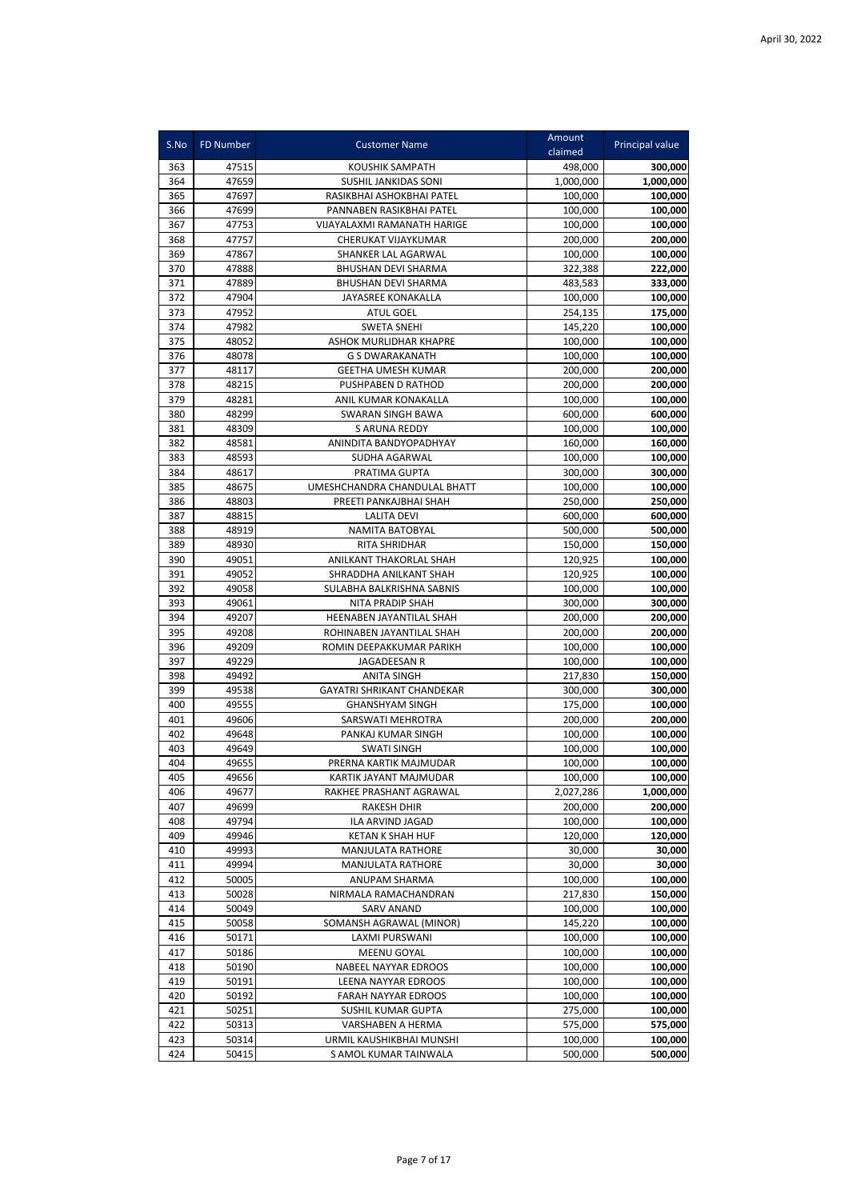| S.No       | FD Number      | <b>Customer Name</b>                              | Amount<br>claimed    | Principal value      |
|------------|----------------|---------------------------------------------------|----------------------|----------------------|
| 363        | 47515          | <b>KOUSHIK SAMPATH</b>                            | 498,000              | 300,000              |
| 364        | 47659          | SUSHIL JANKIDAS SONI                              | 1.000.000            | 1,000,000            |
| 365        | 47697          | RASIKBHAI ASHOKBHAI PATEL                         | 100,000              | 100,000              |
| 366        | 47699          | PANNABEN RASIKBHAI PATEL                          | 100,000              | 100,000              |
| 367        | 47753          | VIJAYALAXMI RAMANATH HARIGE                       | 100,000              | 100,000              |
| 368        | 47757          | CHERUKAT VIJAYKUMAR                               | 200,000              | 200,000              |
| 369        | 47867          | SHANKER LAL AGARWAL                               | 100,000              | 100,000              |
| 370        | 47888          | <b>BHUSHAN DEVI SHARMA</b>                        | 322,388              | 222,000              |
| 371        | 47889          | <b>BHUSHAN DEVI SHARMA</b>                        | 483,583              | 333,000              |
| 372        | 47904          | <b>JAYASREE KONAKALLA</b>                         | 100,000              | 100,000              |
| 373        | 47952          | <b>ATUL GOEL</b>                                  | 254,135              | 175,000              |
| 374        | 47982          | <b>SWETA SNEHI</b>                                | 145,220              | 100,000              |
| 375        | 48052          | ASHOK MURLIDHAR KHAPRE                            | 100,000              | 100,000              |
| 376        | 48078          | <b>G S DWARAKANATH</b>                            | 100,000              | 100,000              |
| 377        | 48117          | <b>GEETHA UMESH KUMAR</b>                         | 200,000              | 200,000              |
| 378        | 48215          | PUSHPABEN D RATHOD                                | 200,000              | 200,000              |
| 379        | 48281          | ANIL KUMAR KONAKALLA                              | 100,000              | 100,000              |
| 380        | 48299          | SWARAN SINGH BAWA                                 | 600,000              | 600,000              |
| 381        | 48309          | S ARUNA REDDY                                     | 100,000              | 100,000              |
| 382<br>383 | 48581<br>48593 | ANINDITA BANDYOPADHYAY<br>SUDHA AGARWAL           | 160,000              | 160,000              |
| 384        | 48617          | PRATIMA GUPTA                                     | 100,000<br>300,000   | 100,000              |
| 385        | 48675          | UMESHCHANDRA CHANDULAL BHATT                      | 100,000              | 300,000<br>100,000   |
| 386        | 48803          | PREETI PANKAJBHAI SHAH                            | 250,000              | 250,000              |
| 387        | 48815          | <b>LALITA DEVI</b>                                | 600,000              | 600,000              |
| 388        | 48919          | <b>NAMITA BATOBYAL</b>                            | 500,000              | 500,000              |
| 389        | 48930          | RITA SHRIDHAR                                     | 150,000              | 150,000              |
| 390        | 49051          | ANILKANT THAKORLAL SHAH                           | 120,925              | 100,000              |
| 391        | 49052          | SHRADDHA ANILKANT SHAH                            | 120,925              | 100,000              |
| 392        | 49058          | SULABHA BALKRISHNA SABNIS                         | 100,000              | 100,000              |
| 393        | 49061          | NITA PRADIP SHAH                                  | 300,000              | 300,000              |
| 394        | 49207          | HEENABEN JAYANTILAL SHAH                          | 200,000              | 200,000              |
| 395        | 49208          | ROHINABEN JAYANTILAL SHAH                         | 200,000              | 200,000              |
| 396        | 49209          | ROMIN DEEPAKKUMAR PARIKH                          | 100,000              | 100,000              |
| 397        | 49229          | <b>JAGADEESAN R</b>                               | 100,000              | 100,000              |
| 398        | 49492          | ANITA SINGH                                       | 217,830              | 150,000              |
| 399        | 49538          | <b>GAYATRI SHRIKANT CHANDEKAR</b>                 | 300,000              | 300,000              |
| 400        | 49555          | <b>GHANSHYAM SINGH</b>                            | 175,000              | 100,000              |
| 401        | 49606          | SARSWATI MEHROTRA                                 | 200,000              | 200,000              |
| 402        | 49648          | PANKAJ KUMAR SINGH                                | 100,000              | 100,000              |
| 403        | 49649          | <b>SWATI SINGH</b>                                | 100,000              | 100,000              |
| 404        | 49655          | PRERNA KARTIK MAJMUDAR                            | 100,000              | 100,000              |
| 405<br>406 | 49656<br>49677 | KARTIK JAYANT MAJMUDAR<br>RAKHEE PRASHANT AGRAWAL | 100,000<br>2,027,286 | 100,000<br>1,000,000 |
| 407        | 49699          | <b>RAKESH DHIR</b>                                | 200,000              | 200,000              |
| 408        | 49794          | ILA ARVIND JAGAD                                  | 100,000              | 100,000              |
| 409        | 49946          | <b>KETAN K SHAH HUF</b>                           | 120,000              | 120,000              |
| 410        | 49993          | MANJULATA RATHORE                                 | 30,000               | 30,000               |
| 411        | 49994          | MANJULATA RATHORE                                 | 30,000               | 30,000               |
| 412        | 50005          | ANUPAM SHARMA                                     | 100,000              | 100,000              |
| 413        | 50028          | NIRMALA RAMACHANDRAN                              | 217,830              | 150,000              |
| 414        | 50049          | <b>SARV ANAND</b>                                 | 100,000              | 100,000              |
| 415        | 50058          | SOMANSH AGRAWAL (MINOR)                           | 145,220              | 100,000              |
| 416        | 50171          | LAXMI PURSWANI                                    | 100,000              | 100,000              |
| 417        | 50186          | MEENU GOYAL                                       | 100,000              | 100,000              |
| 418        | 50190          | NABEEL NAYYAR EDROOS                              | 100,000              | 100,000              |
| 419        | 50191          | LEENA NAYYAR EDROOS                               | 100,000              | 100,000              |
| 420        | 50192          | FARAH NAYYAR EDROOS                               | 100,000              | 100,000              |
| 421        | 50251          | SUSHIL KUMAR GUPTA                                | 275,000              | 100,000              |
| 422        | 50313          | VARSHABEN A HERMA                                 | 575,000              | 575,000              |
| 423        | 50314          | URMIL KAUSHIKBHAI MUNSHI                          | 100,000              | 100,000              |
| 424        | 50415          | S AMOL KUMAR TAINWALA                             | 500,000              | 500,000              |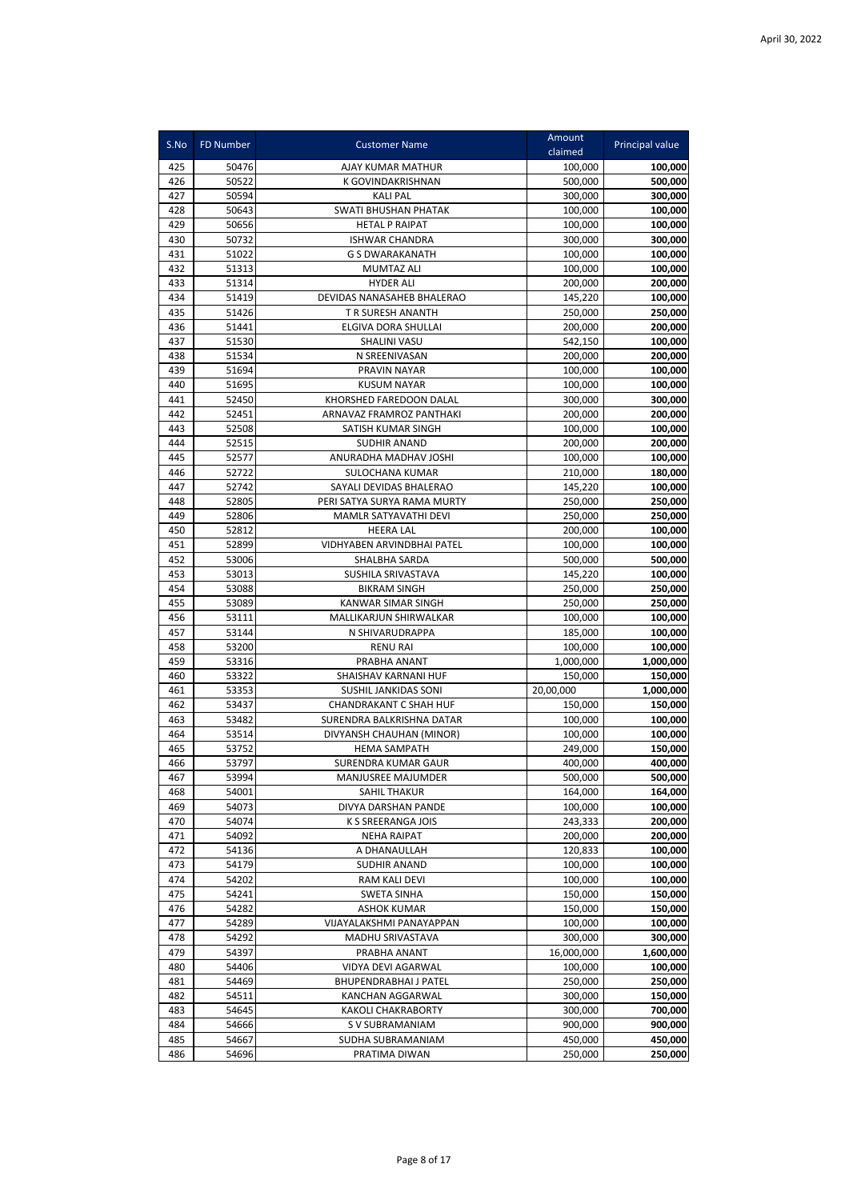| S.No       | <b>FD Number</b> | <b>Customer Name</b>                          | Amount<br>claimed  | Principal value    |
|------------|------------------|-----------------------------------------------|--------------------|--------------------|
| 425        | 50476            | AJAY KUMAR MATHUR                             | 100,000            | 100,000            |
| 426        | 50522            | K GOVINDAKRISHNAN                             | 500,000            | 500,000            |
| 427        | 50594            | <b>KALI PAL</b>                               | 300,000            | 300,000            |
| 428        | 50643            | <b>SWATI BHUSHAN PHATAK</b>                   | 100.000            | 100,000            |
| 429        | 50656            | <b>HETAL P RAIPAT</b>                         | 100,000            | 100,000            |
| 430        | 50732            | <b>ISHWAR CHANDRA</b>                         | 300,000            | 300,000            |
| 431        | 51022            | <b>G S DWARAKANATH</b>                        | 100,000            | 100,000            |
| 432        | 51313            | MUMTAZ ALI                                    | 100,000            | 100,000            |
| 433        | 51314            | <b>HYDER ALI</b>                              | 200,000            | 200,000            |
| 434        | 51419            | DEVIDAS NANASAHEB BHALERAO                    | 145,220            | 100,000            |
| 435        | 51426            | T R SURESH ANANTH                             | 250,000            | 250,000            |
| 436        | 51441            | ELGIVA DORA SHULLAI                           | 200,000            | 200,000            |
| 437        | 51530            | <b>SHALINI VASU</b>                           | 542,150            | 100,000            |
| 438        | 51534            | N SREENIVASAN                                 | 200,000            | 200,000            |
| 439        | 51694            | PRAVIN NAYAR                                  | 100,000            | 100,000            |
| 440        | 51695            | <b>KUSUM NAYAR</b>                            | 100,000            | 100,000            |
| 441        | 52450            | KHORSHED FAREDOON DALAL                       | 300,000            | 300,000            |
| 442        | 52451            | ARNAVAZ FRAMROZ PANTHAKI                      | 200,000            | 200,000            |
| 443        | 52508            | SATISH KUMAR SINGH                            | 100,000            | 100,000            |
| 444        | 52515            | <b>SUDHIR ANAND</b>                           | 200,000            | 200,000            |
| 445        | 52577            | ANURADHA MADHAV JOSHI                         | 100,000            | 100,000            |
| 446        | 52722            | SULOCHANA KUMAR                               | 210,000            | 180.000            |
| 447        | 52742            | SAYALI DEVIDAS BHALERAO                       | 145,220            | 100,000            |
| 448        | 52805            | PERI SATYA SURYA RAMA MURTY                   | 250,000            | 250,000            |
| 449        | 52806            | MAMLR SATYAVATHI DEVI                         | 250,000            | 250,000            |
| 450        | 52812            | <b>HEERA LAL</b>                              | 200,000            | 100,000            |
| 451<br>452 | 52899<br>53006   | VIDHYABEN ARVINDBHAI PATEL<br>SHALBHA SARDA   | 100,000<br>500,000 | 100,000<br>500,000 |
| 453        | 53013            | SUSHILA SRIVASTAVA                            | 145,220            | 100,000            |
| 454        | 53088            | <b>BIKRAM SINGH</b>                           | 250,000            | 250,000            |
| 455        | 53089            | KANWAR SIMAR SINGH                            | 250,000            | 250,000            |
| 456        | 53111            | MALLIKARJUN SHIRWALKAR                        | 100,000            | 100,000            |
| 457        | 53144            | N SHIVARUDRAPPA                               | 185,000            | 100,000            |
| 458        | 53200            | <b>RENU RAI</b>                               | 100,000            | 100,000            |
| 459        | 53316            | PRABHA ANANT                                  | 1,000,000          | 1,000,000          |
| 460        | 53322            | SHAISHAV KARNANI HUF                          | 150,000            | 150,000            |
| 461        | 53353            | SUSHIL JANKIDAS SONI                          | 20,00,000          | 1,000,000          |
| 462        | 53437            | <b>CHANDRAKANT C SHAH HUF</b>                 | 150,000            | 150,000            |
| 463        | 53482            | SURENDRA BALKRISHNA DATAR                     | 100,000            | 100,000            |
| 464        | 53514            | DIVYANSH CHAUHAN (MINOR)                      | 100,000            | 100,000            |
| 465        | 53752            | <b>HEMA SAMPATH</b>                           | 249,000            | 150,000            |
| 466        | 53797            | SURENDRA KUMAR GAUR                           | 400,000            | 400,000            |
| 467        | 53994            | MANJUSREE MAJUMDER                            | 500,000            | 500,000            |
| 468        | 54001            | SAHIL THAKUR                                  | 164,000            | 164,000            |
| 469        | 54073            | DIVYA DARSHAN PANDE                           | 100,000            | 100,000            |
| 470        | 54074            | K S SREERANGA JOIS                            | 243,333            | 200,000            |
| 471        | 54092            | <b>NEHA RAIPAT</b>                            | 200,000            | 200,000            |
| 472        | 54136            | A DHANAULLAH                                  | 120,833            | 100,000            |
| 473        | 54179            | SUDHIR ANAND                                  | 100,000            | 100,000            |
| 474        | 54202            | RAM KALI DEVI                                 | 100,000            | 100,000            |
| 475        | 54241            | <b>SWETA SINHA</b>                            | 150,000            | 150,000            |
| 476        | 54282            | <b>ASHOK KUMAR</b>                            | 150,000            | 150,000            |
| 477        | 54289            | VIJAYALAKSHMI PANAYAPPAN                      | 100,000            | 100,000            |
| 478        | 54292            | MADHU SRIVASTAVA                              | 300,000            | 300,000            |
| 479        | 54397            | PRABHA ANANT                                  | 16,000,000         | 1,600,000          |
| 480        | 54406            | VIDYA DEVI AGARWAL                            | 100,000            | 100,000            |
| 481<br>482 | 54469<br>54511   | <b>BHUPENDRABHAI J PATEL</b>                  | 250,000<br>300,000 | 250,000<br>150,000 |
| 483        | 54645            | KANCHAN AGGARWAL<br><b>KAKOLI CHAKRABORTY</b> | 300,000            | 700,000            |
| 484        | 54666            | S V SUBRAMANIAM                               | 900,000            | 900,000            |
| 485        | 54667            | SUDHA SUBRAMANIAM                             | 450,000            | 450,000            |
| 486        | 54696            | PRATIMA DIWAN                                 | 250,000            | 250,000            |
|            |                  |                                               |                    |                    |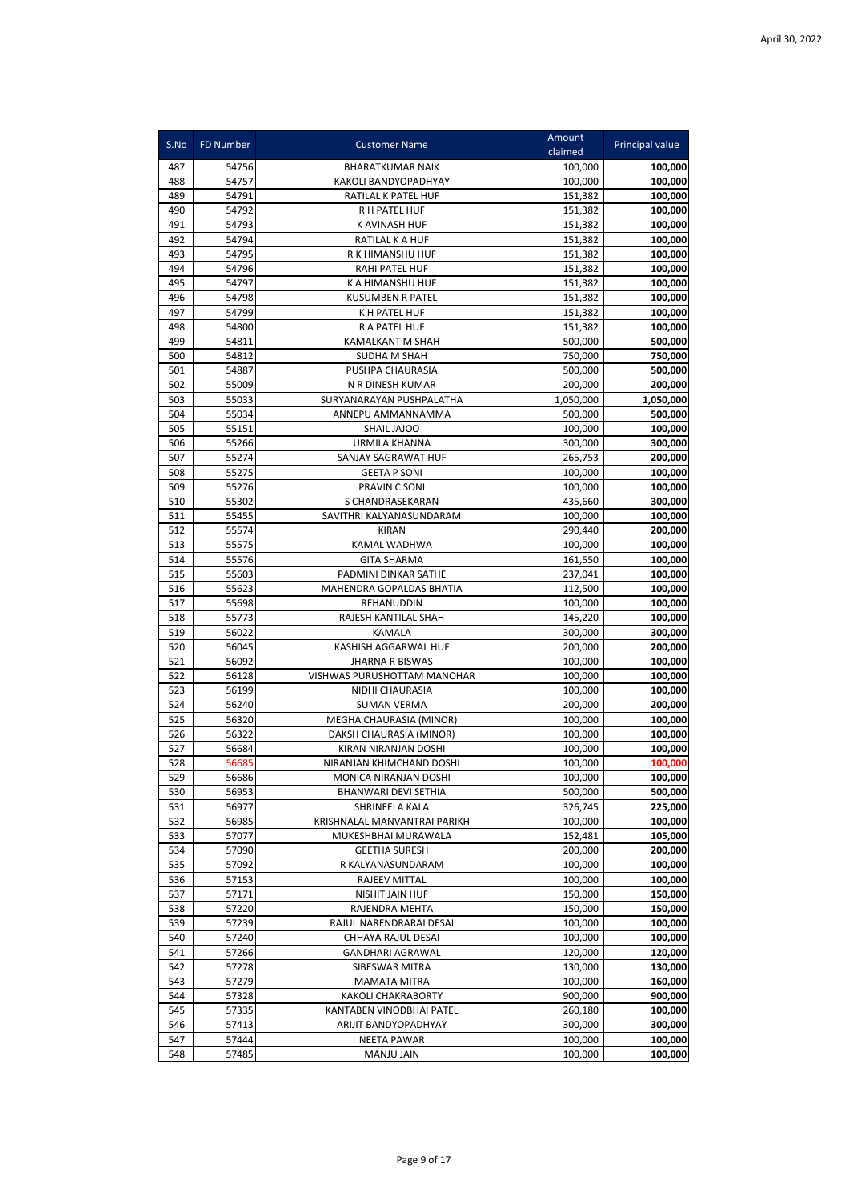| S.No       | FD Number      | <b>Customer Name</b>                       | Amount<br>claimed  | Principal value    |
|------------|----------------|--------------------------------------------|--------------------|--------------------|
| 487        | 54756          | <b>BHARATKUMAR NAIK</b>                    | 100,000            | 100,000            |
| 488        | 54757          | KAKOLI BANDYOPADHYAY                       | 100,000            | 100,000            |
| 489        | 54791          | RATILAL K PATEL HUF                        | 151,382            | 100,000            |
| 490        | 54792          | R H PATEL HUF                              | 151,382            | 100,000            |
| 491        | 54793          | K AVINASH HUF                              | 151,382            | 100,000            |
| 492        | 54794          | RATILAL K A HUF                            | 151,382            | 100,000            |
| 493        | 54795          | R K HIMANSHU HUF                           | 151,382            | 100,000            |
| 494        | 54796          | RAHI PATEL HUF                             | 151,382            | 100,000            |
| 495        | 54797          | K A HIMANSHU HUF                           | 151,382            | 100,000            |
| 496        | 54798          | <b>KUSUMBEN R PATEL</b>                    | 151,382            | 100,000            |
| 497        | 54799          | <b>KH PATEL HUF</b>                        | 151,382            | 100,000            |
| 498        | 54800          | R A PATEL HUF                              | 151,382            | 100,000            |
| 499        | 54811          | KAMALKANT M SHAH                           | 500,000            | 500,000            |
| 500        | 54812          | SUDHA M SHAH                               | 750,000            | 750,000            |
| 501        | 54887          | PUSHPA CHAURASIA                           | 500,000            | 500,000            |
| 502        | 55009          | N R DINESH KUMAR                           | 200,000            | 200,000            |
| 503        | 55033          | SURYANARAYAN PUSHPALATHA                   | 1,050,000          | 1,050,000          |
| 504        | 55034          | ANNEPU AMMANNAMMA                          | 500,000            | 500,000            |
| 505        | 55151          | SHAIL JAJOO                                | 100,000            | 100,000            |
| 506        | 55266          | <b>URMILA KHANNA</b>                       | 300,000            | 300,000            |
| 507        | 55274          | SANJAY SAGRAWAT HUF                        | 265,753            | 200,000            |
| 508        | 55275          | <b>GEETA P SONI</b>                        | 100.000            | 100,000            |
| 509        | 55276          | PRAVIN C SONI                              | 100,000            | 100,000            |
| 510        | 55302          | S CHANDRASEKARAN                           | 435,660<br>100.000 | 300,000            |
| 511<br>512 | 55455<br>55574 | SAVITHRI KALYANASUNDARAM<br>KIRAN          | 290,440            | 100,000            |
| 513        | 55575          | KAMAL WADHWA                               | 100,000            | 200,000<br>100,000 |
| 514        | 55576          | <b>GITA SHARMA</b>                         | 161,550            | 100,000            |
| 515        | 55603          | PADMINI DINKAR SATHE                       | 237,041            | 100,000            |
| 516        | 55623          | MAHENDRA GOPALDAS BHATIA                   | 112,500            | 100,000            |
| 517        | 55698          | REHANUDDIN                                 | 100,000            | 100,000            |
| 518        | 55773          | RAJESH KANTILAL SHAH                       | 145,220            | 100,000            |
| 519        | 56022          | <b>KAMALA</b>                              | 300,000            | 300,000            |
| 520        | 56045          | KASHISH AGGARWAL HUF                       | 200,000            | 200,000            |
| 521        | 56092          | <b>JHARNA R BISWAS</b>                     | 100,000            | 100,000            |
| 522        | 56128          | VISHWAS PURUSHOTTAM MANOHAR                | 100,000            | 100,000            |
| 523        | 56199          | NIDHI CHAURASIA                            | 100,000            | 100,000            |
| 524        | 56240          | <b>SUMAN VERMA</b>                         | 200,000            | 200,000            |
| 525        | 56320          | MEGHA CHAURASIA (MINOR)                    | 100,000            | 100,000            |
| 526        | 56322          | DAKSH CHAURASIA (MINOR)                    | 100,000            | 100,000            |
| 527        | 56684          | KIRAN NIRANJAN DOSHI                       | 100,000            | 100,000            |
| 528        | 56685          | NIRANJAN KHIMCHAND DOSHI                   | 100,000            | 100,000            |
| 529        | 56686          | MONICA NIRANJAN DOSHI                      | 100,000            | 100,000            |
| 530        | 56953          | BHANWARI DEVI SETHIA                       | 500,000            | 500,000            |
| 531        | 56977          | SHRINEELA KALA                             | 326,745            | 225,000            |
| 532        | 56985          | KRISHNALAL MANVANTRAI PARIKH               | 100,000            | 100,000            |
| 533        | 57077          | MUKESHBHAI MURAWALA                        | 152,481            | 105,000            |
| 534        | 57090          | <b>GEETHA SURESH</b>                       | 200,000            | 200,000            |
| 535        | 57092          | R KALYANASUNDARAM                          | 100,000            | 100,000            |
| 536        | 57153          | <b>RAJEEV MITTAL</b>                       | 100,000            | 100,000            |
| 537        | 57171          | NISHIT JAIN HUF                            | 150,000            | 150,000            |
| 538        | 57220          | RAJENDRA MEHTA                             | 150,000            | 150,000            |
| 539        | 57239          | RAJUL NARENDRARAI DESAI                    | 100,000            | 100,000            |
| 540        | 57240          | CHHAYA RAJUL DESAI                         | 100,000            | 100,000            |
| 541        | 57266          | <b>GANDHARI AGRAWAL</b>                    | 120,000            | 120,000            |
| 542        | 57278          | SIBESWAR MITRA                             | 130,000            | 130,000            |
| 543        | 57279          | <b>MAMATA MITRA</b>                        | 100,000            | 160,000            |
| 544        | 57328          | KAKOLI CHAKRABORTY                         | 900,000            | 900,000            |
| 545        | 57335          | KANTABEN VINODBHAI PATEL                   | 260,180            | 100,000            |
| 546<br>547 | 57413<br>57444 | ARIJIT BANDYOPADHYAY<br><b>NEETA PAWAR</b> | 300,000            | 300,000<br>100,000 |
| 548        | 57485          | MANJU JAIN                                 | 100,000<br>100,000 | 100,000            |
|            |                |                                            |                    |                    |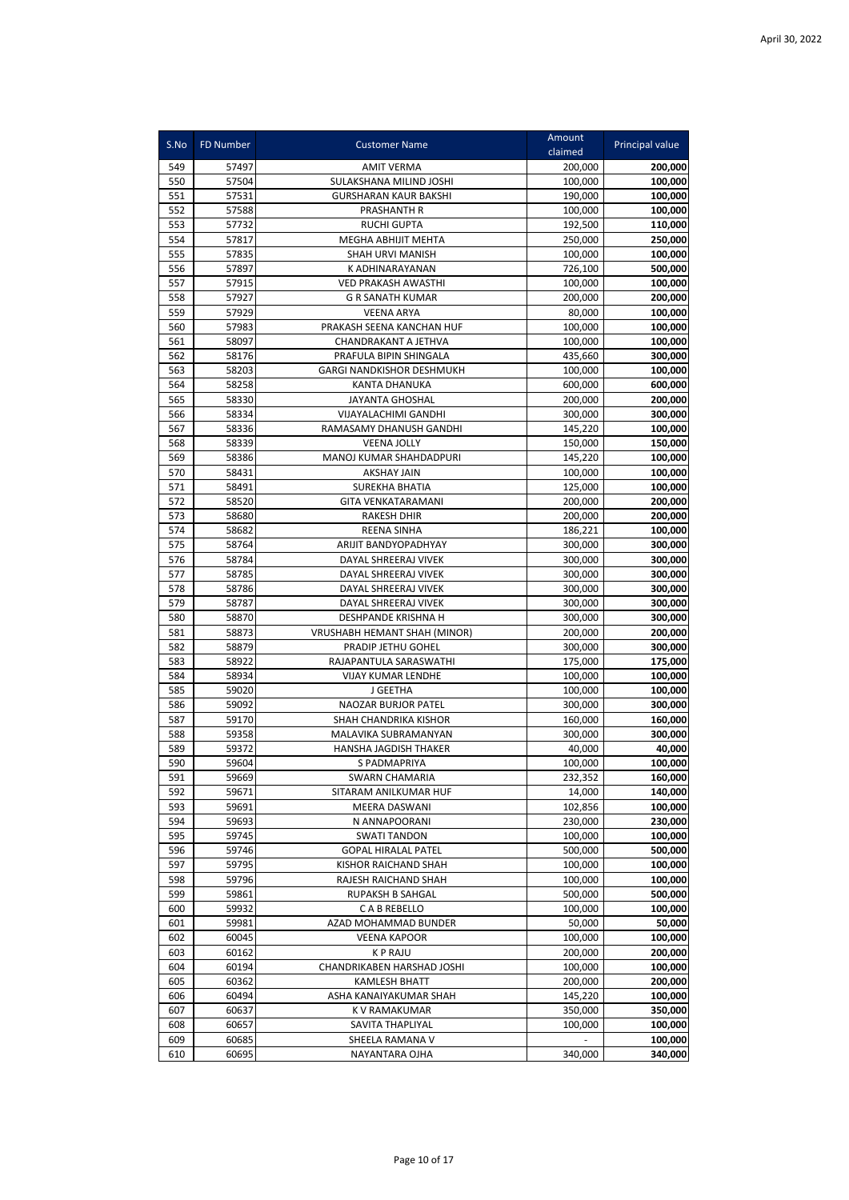| S.No       | FD Number      | <b>Customer Name</b>                           | Amount<br>claimed  | Principal value    |
|------------|----------------|------------------------------------------------|--------------------|--------------------|
| 549        | 57497          |                                                |                    | 200,000            |
| 550        | 57504          | AMIT VERMA<br>SULAKSHANA MILIND JOSHI          | 200,000<br>100,000 | 100,000            |
| 551        | 57531          | GURSHARAN KAUR BAKSHI                          | 190,000            | 100,000            |
| 552        | 57588          | PRASHANTH R                                    | 100,000            | 100,000            |
| 553        | 57732          | <b>RUCHI GUPTA</b>                             | 192,500            | 110,000            |
| 554        | 57817          | MEGHA ABHIJIT MEHTA                            | 250,000            | 250,000            |
| 555        | 57835          | SHAH URVI MANISH                               | 100,000            | 100,000            |
| 556        | 57897          | K ADHINARAYANAN                                | 726,100            | 500,000            |
| 557        | 57915          | <b>VED PRAKASH AWASTHI</b>                     | 100,000            | 100,000            |
| 558        | 57927          | <b>G R SANATH KUMAR</b>                        | 200,000            | 200,000            |
| 559        | 57929          | <b>VEENA ARYA</b>                              | 80,000             | 100,000            |
| 560        | 57983          | PRAKASH SEENA KANCHAN HUF                      | 100,000            | 100,000            |
| 561        | 58097          | CHANDRAKANT A JETHVA                           | 100,000            | 100,000            |
| 562        | 58176          | PRAFULA BIPIN SHINGALA                         | 435,660            | 300,000            |
| 563        | 58203          | <b>GARGI NANDKISHOR DESHMUKH</b>               | 100,000            | 100,000            |
| 564        | 58258          | KANTA DHANUKA                                  | 600,000            | 600,000            |
| 565        | 58330          | <b>JAYANTA GHOSHAL</b>                         | 200,000            | 200,000            |
| 566        | 58334          | <b>VIJAYALACHIMI GANDHI</b>                    | 300,000            | 300,000            |
| 567        | 58336          | RAMASAMY DHANUSH GANDHI                        | 145,220            | 100,000            |
| 568        | 58339          | <b>VEENA JOLLY</b>                             | 150,000            | 150,000            |
| 569        | 58386          | MANOJ KUMAR SHAHDADPURI                        | 145,220            | 100,000            |
| 570        | 58431          | <b>AKSHAY JAIN</b>                             | 100,000            | 100,000            |
| 571        | 58491          | <b>SUREKHA BHATIA</b>                          | 125,000            | 100,000            |
| 572        | 58520          | <b>GITA VENKATARAMANI</b>                      | 200,000            | 200,000            |
| 573        | 58680          | <b>RAKESH DHIR</b>                             | 200,000            | 200,000            |
| 574        | 58682          | <b>REENA SINHA</b>                             | 186,221            | 100,000            |
| 575        | 58764          | ARIJIT BANDYOPADHYAY                           | 300,000            | 300,000            |
| 576        | 58784          | DAYAL SHREERAJ VIVEK                           | 300,000            | 300,000            |
| 577        | 58785          | DAYAL SHREERAJ VIVEK                           | 300,000            | 300,000            |
| 578        | 58786          | DAYAL SHREERAJ VIVEK                           | 300,000            | 300,000            |
| 579        | 58787          | DAYAL SHREERAJ VIVEK                           | 300,000            | 300,000            |
| 580        | 58870          | DESHPANDE KRISHNA H                            | 300,000            | 300,000            |
| 581        | 58873          | VRUSHABH HEMANT SHAH (MINOR)                   | 200,000            | 200,000            |
| 582        | 58879          | PRADIP JETHU GOHEL                             | 300,000            | 300,000            |
| 583        | 58922          | RAJAPANTULA SARASWATHI                         | 175,000            | 175,000            |
| 584        | 58934          | <b>VIJAY KUMAR LENDHE</b>                      | 100,000            | 100,000            |
| 585        | 59020          | J GEETHA                                       | 100,000            | 100,000            |
| 586        | 59092          | <b>NAOZAR BURJOR PATEL</b>                     | 300,000            | 300,000            |
| 587        | 59170<br>59358 | SHAH CHANDRIKA KISHOR                          | 160,000            | 160,000            |
| 588        | 59372          | MALAVIKA SUBRAMANYAN                           | 300,000            | 300,000            |
| 589<br>590 | 59604          | HANSHA JAGDISH THAKER                          | 40,000<br>100,000  | 40,000             |
|            |                | S PADMAPRIYA                                   |                    | 100,000            |
| 591<br>592 | 59669<br>59671 | <b>SWARN CHAMARIA</b><br>SITARAM ANILKUMAR HUF | 232,352<br>14,000  | 160,000<br>140.000 |
| 593        | 59691          | MEERA DASWANI                                  | 102,856            | 100,000            |
| 594        | 59693          | N ANNAPOORANI                                  | 230,000            | 230,000            |
| 595        | 59745          | <b>SWATI TANDON</b>                            | 100,000            | 100,000            |
| 596        | 59746          | <b>GOPAL HIRALAL PATEL</b>                     | 500,000            | 500,000            |
| 597        | 59795          | KISHOR RAICHAND SHAH                           | 100,000            | 100,000            |
| 598        | 59796          | RAJESH RAICHAND SHAH                           | 100,000            | 100,000            |
| 599        | 59861          | RUPAKSH B SAHGAL                               | 500,000            | 500,000            |
| 600        | 59932          | C A B REBELLO                                  | 100,000            | 100,000            |
| 601        | 59981          | AZAD MOHAMMAD BUNDER                           | 50,000             | 50,000             |
| 602        | 60045          | <b>VEENA KAPOOR</b>                            | 100,000            | 100,000            |
| 603        | 60162          | <b>KPRAJU</b>                                  | 200,000            | 200,000            |
| 604        | 60194          | CHANDRIKABEN HARSHAD JOSHI                     | 100,000            | 100,000            |
| 605        | 60362          | KAMLESH BHATT                                  | 200,000            | 200,000            |
| 606        | 60494          | ASHA KANAIYAKUMAR SHAH                         | 145,220            | 100,000            |
| 607        | 60637          | K V RAMAKUMAR                                  | 350,000            | 350,000            |
| 608        | 60657          | SAVITA THAPLIYAL                               | 100,000            | 100,000            |
| 609        | 60685          | SHEELA RAMANA V                                |                    | 100,000            |
| 610        | 60695          | NAYANTARA OJHA                                 | 340,000            | 340,000            |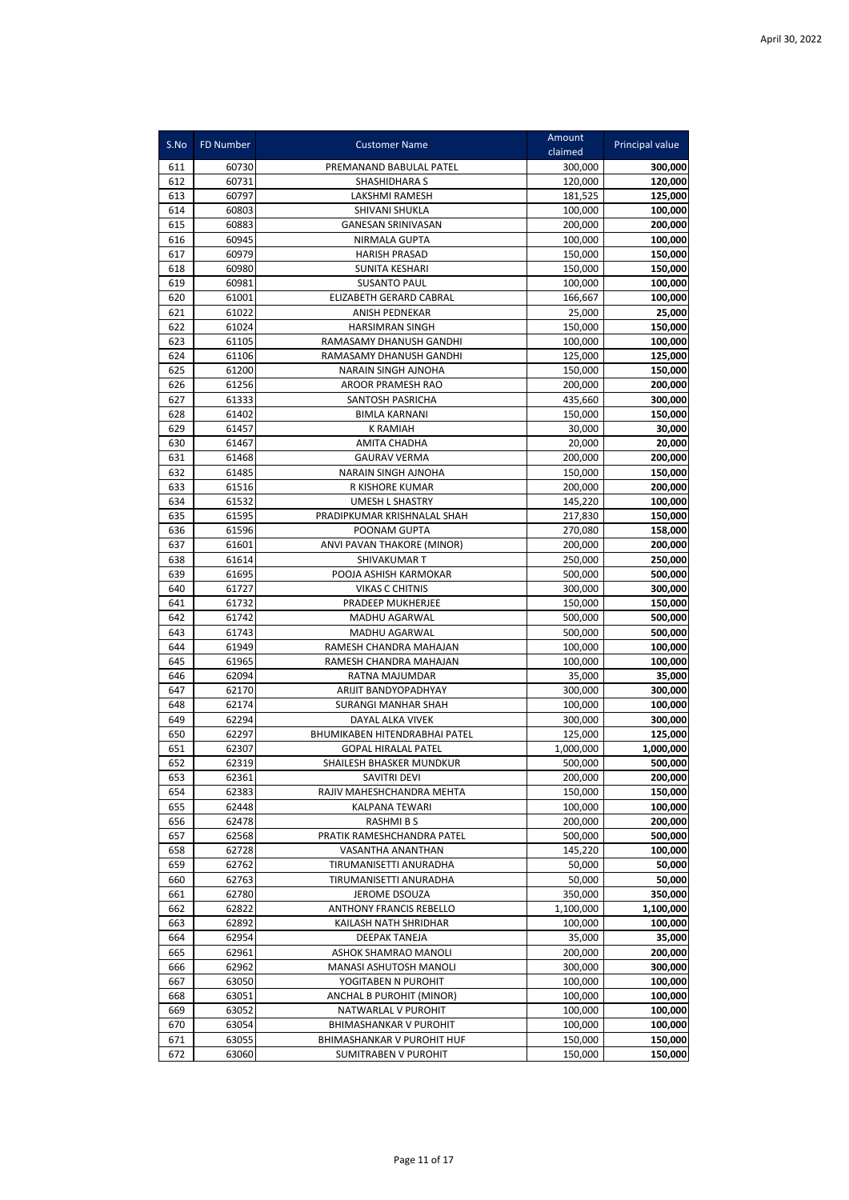| S.No       | FD Number      | <b>Customer Name</b>                        | Amount<br>claimed | Principal value   |
|------------|----------------|---------------------------------------------|-------------------|-------------------|
| 611        | 60730          | PREMANAND BABULAL PATEL                     | 300,000           | 300,000           |
| 612        | 60731          | SHASHIDHARA S                               | 120,000           | 120,000           |
| 613        | 60797          | LAKSHMI RAMESH                              | 181,525           | 125,000           |
| 614        | 60803          | SHIVANI SHUKLA                              | 100,000           | 100,000           |
| 615        | 60883          | <b>GANESAN SRINIVASAN</b>                   | 200,000           | 200,000           |
| 616        | 60945          | NIRMALA GUPTA                               | 100,000           | 100,000           |
| 617        | 60979          | <b>HARISH PRASAD</b>                        | 150,000           | 150,000           |
| 618        | 60980          | SUNITA KESHARI                              | 150,000           | 150,000           |
| 619        | 60981          | <b>SUSANTO PAUL</b>                         | 100,000           | 100,000           |
| 620        | 61001          | ELIZABETH GERARD CABRAL                     | 166,667           | 100,000           |
| 621        | 61022          | <b>ANISH PEDNEKAR</b>                       | 25,000            | 25,000            |
| 622        | 61024          | <b>HARSIMRAN SINGH</b>                      | 150,000           | 150,000           |
| 623        | 61105          | RAMASAMY DHANUSH GANDHI                     | 100,000           | 100,000           |
| 624        | 61106          | RAMASAMY DHANUSH GANDHI                     | 125,000           | 125,000           |
| 625        | 61200          | NARAIN SINGH AJNOHA                         | 150,000           | 150,000           |
| 626        | 61256          | AROOR PRAMESH RAO                           | 200,000           | 200,000           |
| 627        | 61333          | SANTOSH PASRICHA                            | 435,660           | 300,000           |
| 628<br>629 | 61402<br>61457 | <b>BIMLA KARNANI</b><br><b>K RAMIAH</b>     | 150,000           | 150,000<br>30,000 |
| 630        | 61467          | <b>AMITA CHADHA</b>                         | 30,000<br>20,000  | 20,000            |
| 631        | 61468          | <b>GAURAV VERMA</b>                         | 200,000           | 200,000           |
| 632        | 61485          | <b>NARAIN SINGH AJNOHA</b>                  | 150,000           | 150,000           |
| 633        | 61516          | R KISHORE KUMAR                             | 200,000           | 200,000           |
| 634        | 61532          | <b>UMESH L SHASTRY</b>                      | 145,220           | 100,000           |
| 635        | 61595          | PRADIPKUMAR KRISHNALAL SHAH                 | 217,830           | 150,000           |
| 636        | 61596          | POONAM GUPTA                                | 270,080           | 158,000           |
| 637        | 61601          | ANVI PAVAN THAKORE (MINOR)                  | 200,000           | 200,000           |
| 638        | 61614          | <b>SHIVAKUMAR T</b>                         | 250,000           | 250,000           |
| 639        | 61695          | POOJA ASHISH KARMOKAR                       | 500,000           | 500,000           |
| 640        | 61727          | <b>VIKAS C CHITNIS</b>                      | 300,000           | 300,000           |
| 641        | 61732          | PRADEEP MUKHERJEE                           | 150,000           | 150,000           |
| 642        | 61742          | MADHU AGARWAL                               | 500,000           | 500,000           |
| 643        | 61743          | MADHU AGARWAL                               | 500,000           | 500,000           |
| 644        | 61949          | RAMESH CHANDRA MAHAJAN                      | 100,000           | 100,000           |
| 645        | 61965          | RAMESH CHANDRA MAHAJAN                      | 100,000           | 100,000           |
| 646        | 62094          | RATNA MAJUMDAR                              | 35,000            | 35,000            |
| 647        | 62170          | ARIJIT BANDYOPADHYAY                        | 300,000           | 300,000           |
| 648        | 62174          | <b>SURANGI MANHAR SHAH</b>                  | 100,000           | 100,000           |
| 649        | 62294          | DAYAL ALKA VIVEK                            | 300,000           | 300,000           |
| 650        | 62297          | BHUMIKABEN HITENDRABHAI PATEL               | 125,000           | 125,000           |
| 651        | 62307          | <b>GOPAL HIRALAL PATEL</b>                  | 1,000,000         | 1,000,000         |
| 652        | 62319          | SHAILESH BHASKER MUNDKUR                    | 500,000           | 500,000           |
| 653        | 62361          | SAVITRI DEVI                                | 200,000           | 200,000           |
| 654        | 62383          | RAJIV MAHESHCHANDRA MEHTA                   | 150,000           | 150,000           |
| 655        | 62448          | KALPANA TEWARI                              | 100,000           | 100,000           |
| 656        | 62478          | RASHMI B S                                  | 200,000           | 200,000           |
| 657        | 62568<br>62728 | PRATIK RAMESHCHANDRA PATEL                  | 500,000           | 500,000           |
| 658<br>659 | 62762          | VASANTHA ANANTHAN<br>TIRUMANISETTI ANURADHA | 145,220<br>50,000 | 100,000<br>50,000 |
| 660        | 62763          | TIRUMANISETTI ANURADHA                      | 50,000            | 50,000            |
| 661        | 62780          | JEROME DSOUZA                               | 350,000           | 350,000           |
| 662        | 62822          | <b>ANTHONY FRANCIS REBELLO</b>              | 1,100,000         | 1,100,000         |
| 663        | 62892          | KAILASH NATH SHRIDHAR                       | 100,000           | 100,000           |
| 664        | 62954          | DEEPAK TANEJA                               | 35,000            | 35,000            |
| 665        | 62961          | ASHOK SHAMRAO MANOLI                        | 200,000           | 200,000           |
| 666        | 62962          | MANASI ASHUTOSH MANOLI                      | 300,000           | 300,000           |
| 667        | 63050          | YOGITABEN N PUROHIT                         | 100,000           | 100,000           |
| 668        | 63051          | ANCHAL B PUROHIT (MINOR)                    | 100,000           | 100,000           |
| 669        | 63052          | NATWARLAL V PUROHIT                         | 100,000           | 100,000           |
| 670        | 63054          | <b>BHIMASHANKAR V PUROHIT</b>               | 100,000           | 100,000           |
| 671        | 63055          | BHIMASHANKAR V PUROHIT HUF                  | 150,000           | 150,000           |
| 672        | 63060          | SUMITRABEN V PUROHIT                        | 150,000           | 150,000           |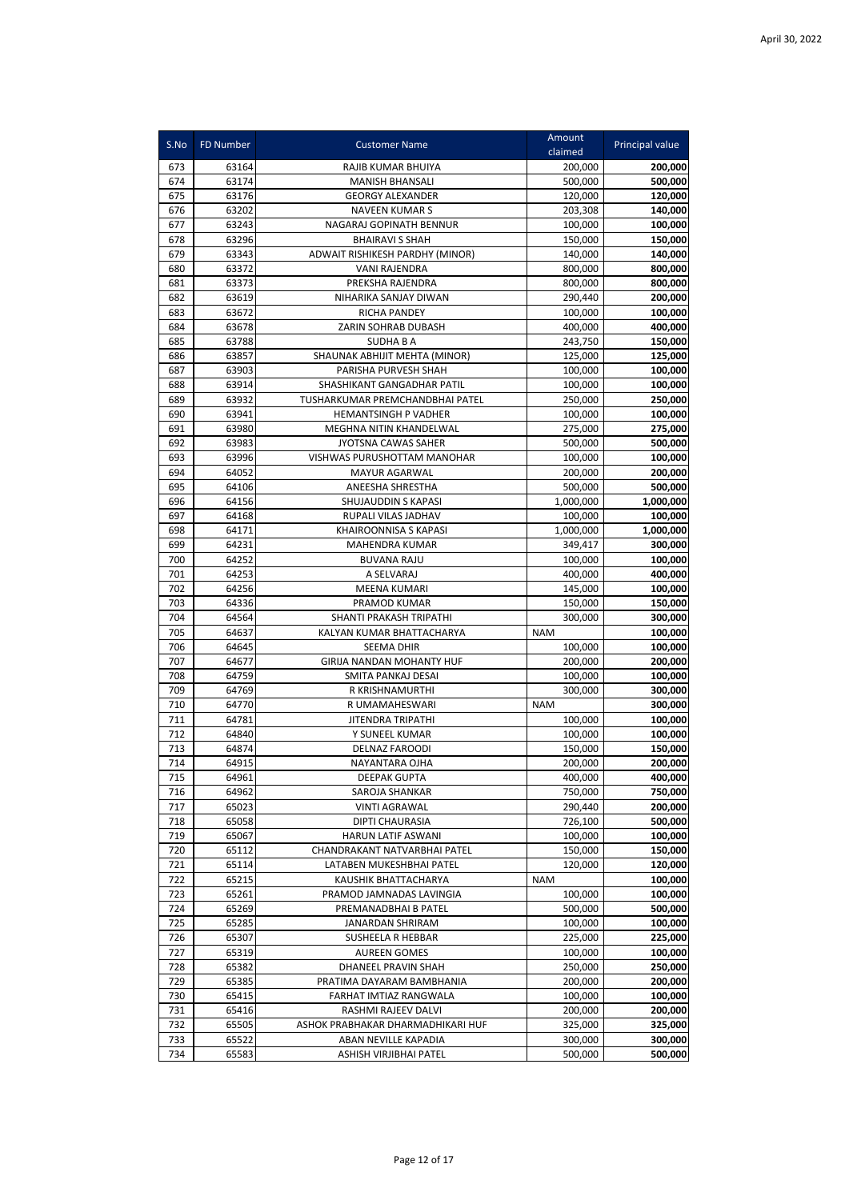| S.No       | <b>FD Number</b> | <b>Customer Name</b>                           | Amount<br>claimed    | Principal value      |
|------------|------------------|------------------------------------------------|----------------------|----------------------|
| 673        | 63164            | RAJIB KUMAR BHUIYA                             | 200,000              | 200,000              |
| 674        | 63174            | <b>MANISH BHANSALI</b>                         | 500,000              | 500,000              |
| 675        | 63176            | <b>GEORGY ALEXANDER</b>                        | 120,000              | 120,000              |
| 676        | 63202            | <b>NAVEEN KUMAR S</b>                          | 203,308              | 140,000              |
| 677        | 63243            | NAGARAJ GOPINATH BENNUR                        | 100,000              | 100,000              |
| 678        | 63296            | <b>BHAIRAVI S SHAH</b>                         | 150,000              | 150,000              |
| 679        | 63343            | ADWAIT RISHIKESH PARDHY (MINOR)                | 140,000              | 140,000              |
| 680        | 63372            | <b>VANI RAJENDRA</b>                           | 800,000              | 800,000              |
| 681        | 63373            | PREKSHA RAJENDRA                               | 800,000              | 800,000              |
| 682        | 63619            | NIHARIKA SANJAY DIWAN                          | 290,440              | 200,000              |
| 683        | 63672            | <b>RICHA PANDEY</b>                            | 100,000              | 100,000              |
| 684        | 63678            | ZARIN SOHRAB DUBASH                            | 400,000              | 400,000              |
| 685        | 63788            | <b>SUDHABA</b>                                 | 243,750              | 150,000              |
| 686        | 63857            | SHAUNAK ABHIJIT MEHTA (MINOR)                  | 125,000              | 125,000              |
| 687        | 63903            | PARISHA PURVESH SHAH                           | 100,000              | 100,000              |
| 688        | 63914            | SHASHIKANT GANGADHAR PATIL                     | 100,000              | 100,000              |
| 689        | 63932            | TUSHARKUMAR PREMCHANDBHAI PATEL                | 250,000              | 250,000              |
| 690        | 63941            | HEMANTSINGH P VADHER                           | 100,000              | 100,000              |
| 691<br>692 | 63980            | MEGHNA NITIN KHANDELWAL<br>JYOTSNA CAWAS SAHER | 275,000              | 275,000              |
| 693        | 63983            | VISHWAS PURUSHOTTAM MANOHAR                    | 500,000<br>100,000   | 500,000              |
|            | 63996<br>64052   |                                                |                      | 100,000              |
| 694        |                  | MAYUR AGARWAL                                  | 200,000<br>500,000   | 200,000              |
| 695<br>696 | 64106<br>64156   | ANEESHA SHRESTHA<br>SHUJAUDDIN S KAPASI        | 1,000,000            | 500,000              |
| 697        | 64168            | RUPALI VILAS JADHAV                            |                      | 1,000,000<br>100,000 |
| 698        | 64171            | KHAIROONNISA S KAPASI                          | 100,000<br>1,000,000 | 1,000,000            |
| 699        | 64231            | MAHENDRA KUMAR                                 | 349,417              | 300,000              |
| 700        | 64252            | <b>BUVANA RAJU</b>                             | 100,000              | 100,000              |
| 701        | 64253            | A SELVARAJ                                     | 400,000              | 400,000              |
| 702        | 64256            | <b>MEENA KUMARI</b>                            | 145,000              | 100,000              |
| 703        | 64336            | PRAMOD KUMAR                                   | 150,000              | 150,000              |
| 704        | 64564            | SHANTI PRAKASH TRIPATHI                        | 300,000              | 300,000              |
| 705        | 64637            | KALYAN KUMAR BHATTACHARYA                      | <b>NAM</b>           | 100,000              |
| 706        | 64645            | <b>SEEMA DHIR</b>                              | 100,000              | 100,000              |
| 707        | 64677            | <b>GIRIJA NANDAN MOHANTY HUF</b>               | 200,000              | 200,000              |
| 708        | 64759            | SMITA PANKAJ DESAI                             | 100,000              | 100,000              |
| 709        | 64769            | R KRISHNAMURTHI                                | 300,000              | 300,000              |
| 710        | 64770            | R UMAMAHESWARI                                 | <b>NAM</b>           | 300,000              |
| 711        | 64781            | JITENDRA TRIPATHI                              | 100,000              | 100,000              |
| 712        | 64840            | Y SUNEEL KUMAR                                 | 100,000              | 100,000              |
| 713        | 64874            | <b>DELNAZ FAROODI</b>                          | 150,000              | 150,000              |
| 714        | 64915            | NAYANTARA OJHA                                 | 200,000              | 200,000              |
| 715        | 64961            | DEEPAK GUPTA                                   | 400,000              | 400,000              |
| 716        | 64962            | SAROJA SHANKAR                                 | 750,000              | 750,000              |
| 717        | 65023            | <b>VINTI AGRAWAL</b>                           | 290,440              | 200,000              |
| 718        | 65058            | DIPTI CHAURASIA                                | 726,100              | 500,000              |
| 719        | 65067            | HARUN LATIF ASWANI                             | 100,000              | 100,000              |
| 720        | 65112            | CHANDRAKANT NATVARBHAI PATEL                   | 150,000              | 150,000              |
| 721        | 65114            | LATABEN MUKESHBHAI PATEL                       | 120,000              | 120,000              |
| 722        | 65215            | KAUSHIK BHATTACHARYA                           | <b>NAM</b>           | 100,000              |
| 723        | 65261            | PRAMOD JAMNADAS LAVINGIA                       | 100,000              | 100,000              |
| 724        | 65269            | PREMANADBHAI B PATEL                           | 500,000              | 500,000              |
| 725        | 65285            | JANARDAN SHRIRAM                               | 100,000              | 100,000              |
| 726        | 65307            | SUSHEELA R HEBBAR                              | 225,000              | 225,000              |
| 727        | 65319            | <b>AUREEN GOMES</b>                            | 100,000              | 100,000              |
| 728        | 65382            | DHANEEL PRAVIN SHAH                            | 250,000              | 250,000              |
| 729        | 65385            | PRATIMA DAYARAM BAMBHANIA                      | 200,000              | 200,000              |
| 730        | 65415            | FARHAT IMTIAZ RANGWALA                         | 100,000              | 100,000              |
| 731        | 65416            | RASHMI RAJEEV DALVI                            | 200,000              | 200,000              |
| 732        | 65505            | ASHOK PRABHAKAR DHARMADHIKARI HUF              | 325,000              | 325,000              |
| 733        | 65522            | ABAN NEVILLE KAPADIA                           | 300,000              | 300,000              |
| 734        | 65583            | ASHISH VIRJIBHAI PATEL                         | 500,000              | 500,000              |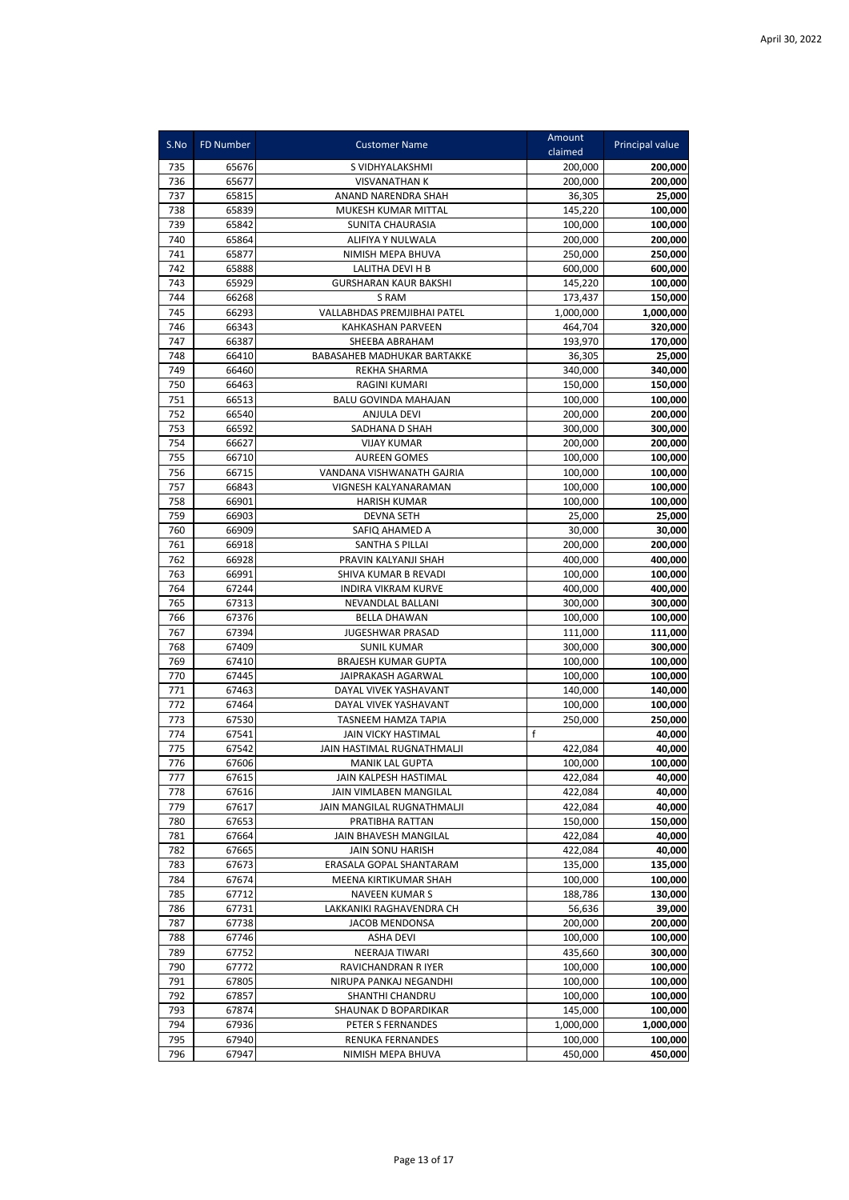| S.No       | FD Number      | <b>Customer Name</b>                        | Amount             | Principal value    |
|------------|----------------|---------------------------------------------|--------------------|--------------------|
|            |                |                                             | claimed            |                    |
| 735        | 65676          | S VIDHYALAKSHMI                             | 200,000            | 200,000            |
| 736        | 65677          | <b>VISVANATHAN K</b>                        | 200,000            | 200,000            |
| 737        | 65815          | ANAND NARENDRA SHAH                         | 36,305             | 25,000             |
| 738        | 65839          | MUKESH KUMAR MITTAL                         | 145.220            | 100,000            |
| 739        | 65842          | <b>SUNITA CHAURASIA</b>                     | 100,000            | 100,000            |
| 740        | 65864          | ALIFIYA Y NULWALA                           | 200,000            | 200,000            |
| 741        | 65877          | NIMISH MEPA BHUVA                           | 250,000            | 250,000            |
| 742        | 65888          | LALITHA DEVI H B                            | 600,000            | 600,000            |
| 743        | 65929          | <b>GURSHARAN KAUR BAKSHI</b>                | 145,220            | 100,000            |
| 744        | 66268          | S RAM                                       | 173,437            | 150,000            |
| 745        | 66293          | <b>VALLABHDAS PREMJIBHAI PATEL</b>          | 1,000,000          | 1,000,000          |
| 746        | 66343          | KAHKASHAN PARVEEN                           | 464,704            | 320,000            |
| 747        | 66387          | SHEEBA ABRAHAM                              | 193,970            | 170,000            |
| 748        | 66410          | <b>BABASAHEB MADHUKAR BARTAKKE</b>          | 36,305             | 25,000             |
| 749        | 66460          | <b>REKHA SHARMA</b>                         | 340,000            | 340,000            |
| 750        | 66463          | RAGINI KUMARI                               | 150,000            | 150,000            |
| 751        | 66513          | BALU GOVINDA MAHAJAN                        | 100,000            | 100,000            |
| 752        | 66540          | ANJULA DEVI                                 | 200,000            | 200,000            |
| 753        | 66592          | SADHANA D SHAH                              | 300,000            | 300,000            |
| 754<br>755 | 66627<br>66710 | <b>VIJAY KUMAR</b><br><b>AUREEN GOMES</b>   | 200,000            | 200,000            |
|            |                |                                             | 100,000            | 100,000            |
| 756<br>757 | 66715<br>66843 | VANDANA VISHWANATH GAJRIA                   | 100,000            | 100,000            |
| 758        | 66901          | VIGNESH KALYANARAMAN<br><b>HARISH KUMAR</b> | 100,000<br>100,000 | 100,000<br>100,000 |
| 759        | 66903          | <b>DEVNA SETH</b>                           | 25,000             | 25,000             |
| 760        | 66909          | SAFIQ AHAMED A                              | 30,000             | 30,000             |
| 761        | 66918          | SANTHA S PILLAI                             | 200,000            | 200,000            |
| 762        | 66928          | PRAVIN KALYANJI SHAH                        | 400,000            | 400,000            |
| 763        | 66991          | SHIVA KUMAR B REVADI                        | 100,000            | 100,000            |
| 764        | 67244          | <b>INDIRA VIKRAM KURVE</b>                  | 400,000            | 400,000            |
| 765        | 67313          | NEVANDLAL BALLANI                           | 300,000            | 300,000            |
| 766        | 67376          | <b>BELLA DHAWAN</b>                         | 100,000            | 100,000            |
| 767        | 67394          | <b>JUGESHWAR PRASAD</b>                     | 111,000            | 111,000            |
| 768        | 67409          | <b>SUNIL KUMAR</b>                          | 300,000            | 300,000            |
| 769        | 67410          | <b>BRAJESH KUMAR GUPTA</b>                  | 100,000            | 100,000            |
| 770        | 67445          | JAIPRAKASH AGARWAL                          | 100,000            | 100,000            |
| 771        | 67463          | DAYAL VIVEK YASHAVANT                       | 140,000            | 140,000            |
| 772        | 67464          | DAYAL VIVEK YASHAVANT                       | 100,000            | 100,000            |
| 773        | 67530          | TASNEEM HAMZA TAPIA                         | 250,000            | 250,000            |
| 774        | 67541          | <b>JAIN VICKY HASTIMAL</b>                  | f                  | 40,000             |
| 775        | 67542          | JAIN HASTIMAL RUGNATHMALJI                  | 422,084            | 40,000             |
| 776        | 67606          | <b>MANIK LAL GUPTA</b>                      | 100,000            | 100,000            |
| 777        | 67615          | JAIN KALPESH HASTIMAL                       | 422,084            | 40,000             |
| 778        | 67616          | JAIN VIMLABEN MANGILAL                      | 422,084            | 40,000             |
| 779        | 67617          | JAIN MANGILAL RUGNATHMALJI                  | 422,084            | 40,000             |
| 780        | 67653          | PRATIBHA RATTAN                             | 150,000            | 150,000            |
| 781        | 67664          | JAIN BHAVESH MANGILAL                       | 422,084            | 40,000             |
| 782        | 67665          | <b>JAIN SONU HARISH</b>                     | 422,084            | 40,000             |
| 783        | 67673          | ERASALA GOPAL SHANTARAM                     | 135,000            | 135,000            |
| 784        | 67674          | MEENA KIRTIKUMAR SHAH                       | 100,000            | 100,000            |
| 785        | 67712          | <b>NAVEEN KUMAR S</b>                       | 188,786            | 130,000            |
| 786        | 67731          | LAKKANIKI RAGHAVENDRA CH                    | 56,636             | 39,000             |
| 787        | 67738          | JACOB MENDONSA                              | 200,000            | 200,000            |
| 788        | 67746          | <b>ASHA DEVI</b>                            | 100,000            | 100,000            |
| 789        | 67752          | NEERAJA TIWARI                              | 435,660            | 300,000            |
| 790        | 67772          | RAVICHANDRAN R IYER                         | 100,000            | 100,000            |
| 791        | 67805          | NIRUPA PANKAJ NEGANDHI                      | 100,000            | 100,000            |
| 792        | 67857          | SHANTHI CHANDRU                             | 100,000            | 100,000            |
| 793        | 67874          | SHAUNAK D BOPARDIKAR                        | 145,000            | 100,000            |
| 794        | 67936          | PETER S FERNANDES                           | 1,000,000          | 1,000,000          |
| 795        | 67940          | RENUKA FERNANDES                            | 100,000            | 100,000            |
| 796        | 67947          | NIMISH MEPA BHUVA                           | 450,000            | 450,000            |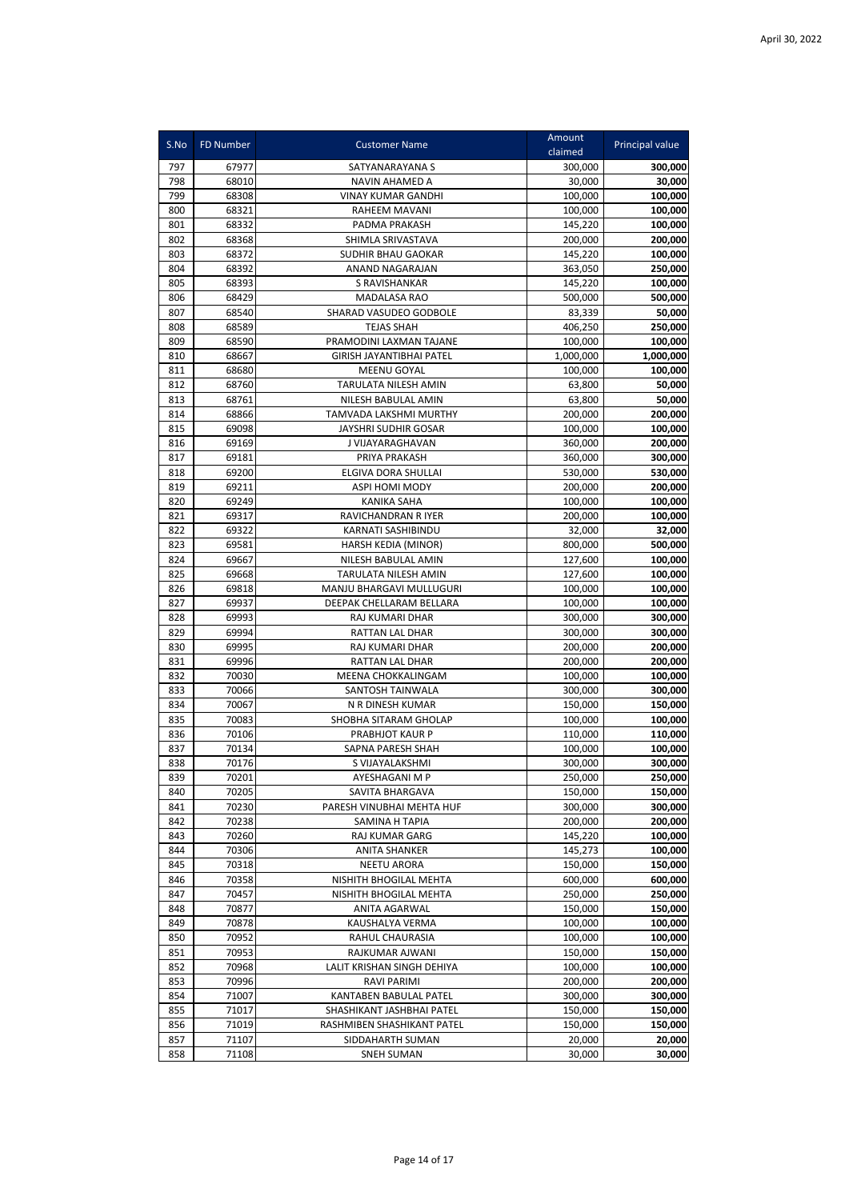| S.No | FD Number | <b>Customer Name</b>            | Amount<br>claimed | Principal value |
|------|-----------|---------------------------------|-------------------|-----------------|
| 797  | 67977     | SATYANARAYANA S                 | 300,000           | 300,000         |
| 798  | 68010     | NAVIN AHAMED A                  | 30,000            | 30,000          |
| 799  | 68308     | <b>VINAY KUMAR GANDHI</b>       | 100,000           | 100,000         |
| 800  | 68321     | RAHEEM MAVANI                   | 100,000           | 100,000         |
| 801  | 68332     | PADMA PRAKASH                   | 145.220           | 100,000         |
| 802  | 68368     | SHIMLA SRIVASTAVA               | 200,000           | 200,000         |
| 803  | 68372     | SUDHIR BHAU GAOKAR              | 145,220           | 100,000         |
| 804  | 68392     | ANAND NAGARAJAN                 | 363,050           | 250,000         |
| 805  | 68393     | S RAVISHANKAR                   | 145,220           | 100,000         |
| 806  | 68429     | <b>MADALASA RAO</b>             | 500,000           | 500,000         |
| 807  | 68540     | SHARAD VASUDEO GODBOLE          | 83,339            | 50,000          |
| 808  | 68589     | <b>TEJAS SHAH</b>               | 406,250           | 250,000         |
| 809  | 68590     | PRAMODINI LAXMAN TAJANE         | 100,000           | 100,000         |
| 810  | 68667     | <b>GIRISH JAYANTIBHAI PATEL</b> | 1,000,000         | 1,000,000       |
| 811  | 68680     | <b>MEENU GOYAL</b>              | 100,000           | 100,000         |
| 812  | 68760     | TARULATA NILESH AMIN            | 63,800            | 50,000          |
| 813  | 68761     | NILESH BABULAL AMIN             | 63,800            | 50,000          |
| 814  | 68866     | TAMVADA LAKSHMI MURTHY          | 200,000           | 200,000         |
| 815  | 69098     | JAYSHRI SUDHIR GOSAR            | 100,000           | 100,000         |
| 816  | 69169     | J VIJAYARAGHAVAN                | 360,000           | 200,000         |
| 817  | 69181     | PRIYA PRAKASH                   | 360,000           | 300,000         |
| 818  | 69200     | ELGIVA DORA SHULLAI             | 530,000           | 530,000         |
| 819  | 69211     | ASPI HOMI MODY                  | 200,000           | 200,000         |
| 820  | 69249     | <b>KANIKA SAHA</b>              | 100,000           | 100,000         |
| 821  | 69317     | <b>RAVICHANDRAN R IYER</b>      | 200,000           | 100,000         |
| 822  | 69322     | KARNATI SASHIBINDU              | 32,000            | 32,000          |
| 823  | 69581     | HARSH KEDIA (MINOR)             | 800,000           | 500,000         |
| 824  | 69667     | NILESH BABULAL AMIN             | 127,600           | 100,000         |
| 825  | 69668     | TARULATA NILESH AMIN            | 127,600           | 100,000         |
| 826  | 69818     | MANJU BHARGAVI MULLUGURI        | 100,000           | 100,000         |
| 827  | 69937     | DEEPAK CHELLARAM BELLARA        | 100,000           | 100,000         |
| 828  | 69993     | RAJ KUMARI DHAR                 | 300,000           | 300,000         |
| 829  | 69994     | RATTAN LAL DHAR                 | 300,000           | 300,000         |
| 830  | 69995     | RAJ KUMARI DHAR                 | 200,000           | 200,000         |
| 831  | 69996     | RATTAN LAL DHAR                 | 200,000           | 200,000         |
| 832  | 70030     | MEENA CHOKKALINGAM              | 100,000           | 100,000         |
| 833  | 70066     | SANTOSH TAINWALA                | 300,000           | 300,000         |
| 834  | 70067     | N R DINESH KUMAR                | 150,000           | 150,000         |
| 835  | 70083     | SHOBHA SITARAM GHOLAP           | 100,000           | 100,000         |
| 836  | 70106     | PRABHJOT KAUR P                 | 110,000           | 110,000         |
| 837  | 70134     | SAPNA PARESH SHAH               | 100,000           | 100,000         |
| 838  | 70176     | S VIJAYALAKSHMI                 | 300.000           | 300,000         |
| 839  | 70201     | AYESHAGANI M P                  | 250,000           | 250,000         |
| 840  | 70205     | SAVITA BHARGAVA                 | 150,000           | 150,000         |
| 841  | 70230     | PARESH VINUBHAI MEHTA HUF       | 300,000           | 300,000         |
| 842  | 70238     | SAMINA H TAPIA                  | 200,000           | 200,000         |
| 843  | 70260     | RAJ KUMAR GARG                  | 145,220           | 100,000         |
| 844  | 70306     | ANITA SHANKER                   | 145,273           | 100,000         |
| 845  | 70318     | NEETU ARORA                     | 150,000           | 150,000         |
| 846  | 70358     | NISHITH BHOGILAL MEHTA          | 600,000           | 600,000         |
| 847  | 70457     | NISHITH BHOGILAL MEHTA          | 250,000           | 250,000         |
| 848  | 70877     | ANITA AGARWAL                   | 150,000           | 150,000         |
| 849  | 70878     | KAUSHALYA VERMA                 | 100,000           | 100,000         |
| 850  | 70952     | RAHUL CHAURASIA                 | 100,000           | 100,000         |
| 851  | 70953     | RAJKUMAR AJWANI                 | 150,000           | 150,000         |
| 852  | 70968     | LALIT KRISHAN SINGH DEHIYA      | 100,000           | 100,000         |
| 853  | 70996     | RAVI PARIMI                     | 200,000           | 200,000         |
| 854  | 71007     | KANTABEN BABULAL PATEL          | 300,000           | 300,000         |
| 855  | 71017     | SHASHIKANT JASHBHAI PATEL       | 150,000           | 150,000         |
| 856  | 71019     | RASHMIBEN SHASHIKANT PATEL      | 150,000           | 150,000         |
| 857  | 71107     | SIDDAHARTH SUMAN                | 20,000            | 20,000          |
| 858  | 71108     | <b>SNEH SUMAN</b>               | 30,000            | 30,000          |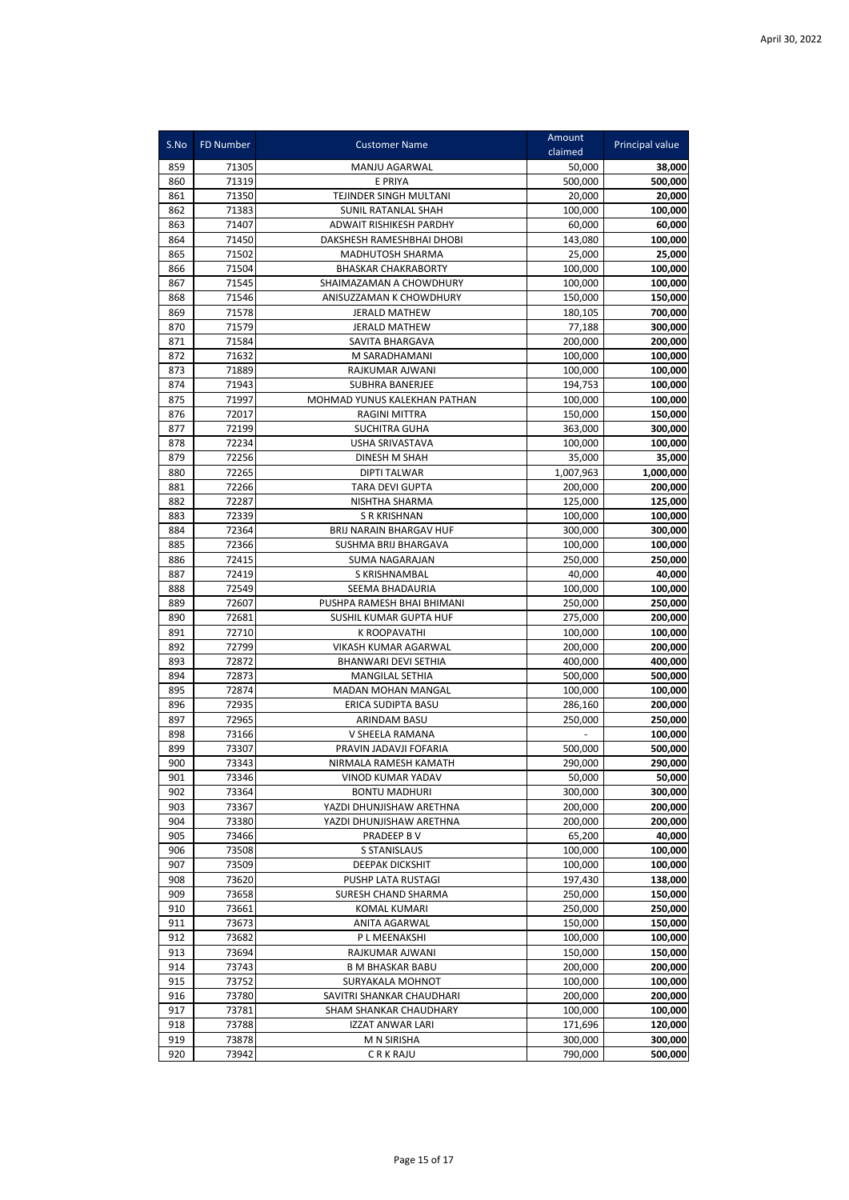| S.No       | <b>FD Number</b> | <b>Customer Name</b>                               | Amount<br>claimed  | Principal value    |
|------------|------------------|----------------------------------------------------|--------------------|--------------------|
| 859        | 71305            | MANJU AGARWAL                                      | 50,000             | 38,000             |
| 860        | 71319            | E PRIYA                                            | 500,000            | 500.000            |
| 861        | 71350            | TEJINDER SINGH MULTANI                             | 20,000             | 20,000             |
| 862        | 71383            | <b>SUNIL RATANLAL SHAH</b>                         | 100,000            | 100,000            |
| 863        | 71407            | ADWAIT RISHIKESH PARDHY                            | 60,000             | 60,000             |
| 864        | 71450            | DAKSHESH RAMESHBHAI DHOBI                          | 143,080            | 100,000            |
| 865        | 71502            | MADHUTOSH SHARMA                                   | 25,000             | 25,000             |
| 866        | 71504            | <b>BHASKAR CHAKRABORTY</b>                         | 100,000            | 100,000            |
| 867<br>868 | 71545<br>71546   | SHAIMAZAMAN A CHOWDHURY<br>ANISUZZAMAN K CHOWDHURY | 100,000<br>150,000 | 100,000            |
| 869        | 71578            | <b>JERALD MATHEW</b>                               | 180,105            | 150,000<br>700,000 |
| 870        | 71579            | <b>JERALD MATHEW</b>                               | 77,188             | 300,000            |
| 871        | 71584            | SAVITA BHARGAVA                                    | 200,000            | 200,000            |
| 872        | 71632            | M SARADHAMANI                                      | 100,000            | 100,000            |
| 873        | 71889            | RAJKUMAR AJWANI                                    | 100,000            | 100,000            |
| 874        | 71943            | <b>SUBHRA BANERJEE</b>                             | 194,753            | 100,000            |
| 875        | 71997            | MOHMAD YUNUS KALEKHAN PATHAN                       | 100,000            | 100,000            |
| 876        | 72017            | RAGINI MITTRA                                      | 150,000            | 150,000            |
| 877        | 72199            | <b>SUCHITRA GUHA</b>                               | 363,000            | 300,000            |
| 878        | 72234            | USHA SRIVASTAVA                                    | 100,000            | 100,000            |
| 879        | 72256            | <b>DINESH M SHAH</b>                               | 35,000             | 35,000             |
| 880        | 72265            | <b>DIPTI TALWAR</b>                                | 1,007,963          | 1,000,000          |
| 881        | 72266            | <b>TARA DEVI GUPTA</b>                             | 200,000            | 200,000            |
| 882        | 72287            | NISHTHA SHARMA                                     | 125,000            | 125,000            |
| 883        | 72339            | <b>S R KRISHNAN</b>                                | 100,000            | 100,000            |
| 884        | 72364            | BRIJ NARAIN BHARGAV HUF                            | 300,000            | 300,000            |
| 885        | 72366            | SUSHMA BRIJ BHARGAVA                               | 100,000            | 100,000            |
| 886        | 72415            | SUMA NAGARAJAN                                     | 250,000            | 250,000            |
| 887<br>888 | 72419<br>72549   | S KRISHNAMBAL<br>SEEMA BHADAURIA                   | 40,000<br>100,000  | 40,000             |
| 889        | 72607            | PUSHPA RAMESH BHAI BHIMANI                         | 250,000            | 100,000<br>250,000 |
| 890        | 72681            | SUSHIL KUMAR GUPTA HUF                             | 275,000            | 200,000            |
| 891        | 72710            | K ROOPAVATHI                                       | 100,000            | 100,000            |
| 892        | 72799            | VIKASH KUMAR AGARWAL                               | 200,000            | 200,000            |
| 893        | 72872            | BHANWARI DEVI SETHIA                               | 400,000            | 400,000            |
| 894        | 72873            | <b>MANGILAL SETHIA</b>                             | 500,000            | 500,000            |
| 895        | 72874            | MADAN MOHAN MANGAL                                 | 100,000            | 100,000            |
| 896        | 72935            | ERICA SUDIPTA BASU                                 | 286,160            | 200,000            |
| 897        | 72965            | ARINDAM BASU                                       | 250,000            | 250,000            |
| 898        | 73166            | V SHEELA RAMANA                                    |                    | 100,000            |
| 899        | 73307            | PRAVIN JADAVJI FOFARIA                             | 500,000            | 500,000            |
| 900        | 73343            | NIRMALA RAMESH KAMATH                              | 290,000            | 290,000            |
| 901        | 73346            | VINOD KUMAR YADAV                                  | 50,000             | 50,000             |
| 902        | 73364            | <b>BONTU MADHURI</b>                               | 300,000            | 300,000            |
| 903        | 73367            | YAZDI DHUNJISHAW ARETHNA                           | 200,000            | 200,000            |
| 904<br>905 | 73380            | YAZDI DHUNJISHAW ARETHNA                           | 200,000            | 200,000<br>40,000  |
| 906        | 73466<br>73508   | PRADEEP BV<br>S STANISLAUS                         | 65,200<br>100,000  | 100,000            |
| 907        | 73509            | DEEPAK DICKSHIT                                    | 100,000            | 100,000            |
| 908        | 73620            | PUSHP LATA RUSTAGI                                 | 197,430            | 138,000            |
| 909        | 73658            | SURESH CHAND SHARMA                                | 250,000            | 150,000            |
| 910        | 73661            | <b>KOMAL KUMARI</b>                                | 250,000            | 250,000            |
| 911        | 73673            | ANITA AGARWAL                                      | 150,000            | 150,000            |
| 912        | 73682            | P L MEENAKSHI                                      | 100,000            | 100,000            |
| 913        | 73694            | RAJKUMAR AJWANI                                    | 150,000            | 150,000            |
| 914        | 73743            | <b>B M BHASKAR BABU</b>                            | 200,000            | 200,000            |
| 915        | 73752            | SURYAKALA MOHNOT                                   | 100,000            | 100,000            |
| 916        | 73780            | SAVITRI SHANKAR CHAUDHARI                          | 200,000            | 200,000            |
| 917        | 73781            | SHAM SHANKAR CHAUDHARY                             | 100,000            | 100,000            |
| 918        | 73788            | IZZAT ANWAR LARI                                   | 171,696            | 120,000            |
| 919        | 73878            | M N SIRISHA                                        | 300,000            | 300,000            |
| 920        | 73942            | <b>CRKRAJU</b>                                     | 790,000            | 500,000            |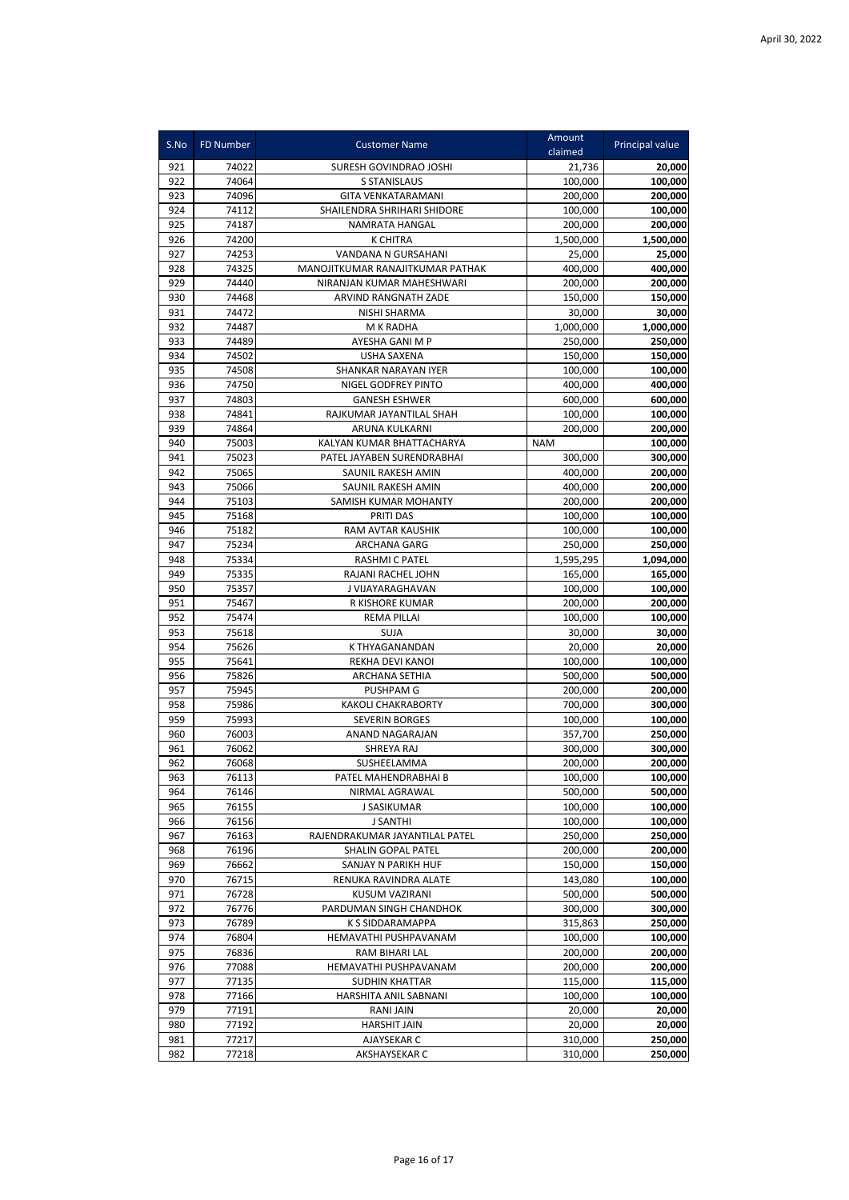| S.No       | <b>FD Number</b> | <b>Customer Name</b>                        | Amount              | Principal value     |
|------------|------------------|---------------------------------------------|---------------------|---------------------|
|            |                  |                                             | claimed             |                     |
| 921        | 74022            | SURESH GOVINDRAO JOSHI                      | 21,736              | 20,000              |
| 922        | 74064            | S STANISLAUS                                | 100,000             | 100,000             |
| 923        | 74096            | <b>GITA VENKATARAMANI</b>                   | 200,000             | 200,000             |
| 924        | 74112            | SHAILENDRA SHRIHARI SHIDORE                 | 100,000             | 100,000             |
| 925<br>926 | 74187<br>74200   | NAMRATA HANGAL<br><b>K CHITRA</b>           | 200,000             | 200,000             |
| 927        | 74253            | VANDANA N GURSAHANI                         | 1,500,000<br>25,000 | 1,500,000<br>25,000 |
| 928        | 74325            | MANOJITKUMAR RANAJITKUMAR PATHAK            | 400.000             | 400,000             |
| 929        | 74440            | NIRANJAN KUMAR MAHESHWARI                   | 200,000             | 200,000             |
| 930        | 74468            | ARVIND RANGNATH ZADE                        | 150,000             | 150,000             |
| 931        | 74472            | NISHI SHARMA                                | 30,000              | 30.000              |
| 932        | 74487            | M K RADHA                                   | 1,000,000           | 1,000,000           |
| 933        | 74489            | AYESHA GANI M P                             | 250,000             | 250,000             |
| 934        | 74502            | <b>USHA SAXENA</b>                          | 150,000             | 150,000             |
| 935        | 74508            | SHANKAR NARAYAN IYER                        | 100,000             | 100,000             |
| 936        | 74750            | NIGEL GODFREY PINTO                         | 400,000             | 400,000             |
| 937        | 74803            | <b>GANESH ESHWER</b>                        | 600,000             | 600,000             |
| 938        | 74841            | RAJKUMAR JAYANTILAL SHAH                    | 100,000             | 100,000             |
| 939        | 74864            | ARUNA KULKARNI                              | 200,000             | 200,000             |
| 940        | 75003            | KALYAN KUMAR BHATTACHARYA                   | <b>NAM</b>          | 100,000             |
| 941        | 75023            | PATEL JAYABEN SURENDRABHAI                  | 300,000             | 300,000             |
| 942        | 75065            | SAUNIL RAKESH AMIN                          | 400,000             | 200.000             |
| 943        | 75066            | SAUNIL RAKESH AMIN                          | 400,000             | 200,000             |
| 944        | 75103            | SAMISH KUMAR MOHANTY                        | 200,000             | 200,000             |
| 945        | 75168            | PRITI DAS                                   | 100,000             | 100,000             |
| 946        | 75182            | RAM AVTAR KAUSHIK                           | 100,000             | 100,000             |
| 947        | 75234            | ARCHANA GARG                                | 250,000             | 250,000             |
| 948<br>949 | 75334            | <b>RASHMI C PATEL</b>                       | 1,595,295           | 1,094,000           |
| 950        | 75335<br>75357   | RAJANI RACHEL JOHN<br>J VIJAYARAGHAVAN      | 165,000<br>100,000  | 165,000<br>100,000  |
| 951        | 75467            | R KISHORE KUMAR                             | 200,000             | 200,000             |
| 952        | 75474            | <b>REMA PILLAI</b>                          | 100,000             | 100,000             |
| 953        | 75618            | SUJA                                        | 30,000              | 30,000              |
| 954        | 75626            | K THYAGANANDAN                              | 20,000              | 20,000              |
| 955        | 75641            | REKHA DEVI KANOI                            | 100,000             | 100,000             |
| 956        | 75826            | ARCHANA SETHIA                              | 500,000             | 500,000             |
| 957        | 75945            | <b>PUSHPAM G</b>                            | 200.000             | 200,000             |
| 958        | 75986            | <b>KAKOLI CHAKRABORTY</b>                   | 700,000             | 300,000             |
| 959        | 75993            | <b>SEVERIN BORGES</b>                       | 100,000             | 100,000             |
| 960        | 76003            | ANAND NAGARAJAN                             | 357,700             | 250,000             |
| 961        | 76062            | SHREYA RAJ                                  | 300,000             | 300,000             |
| 962        | 76068            | SUSHEELAMMA                                 | 200,000             | 200,000             |
| 963        | 76113            | PATEL MAHENDRABHAI B                        | 100,000             | 100,000             |
| 964        | 76146            | NIRMAL AGRAWAL                              | 500,000             | 500,000             |
| 965        | 76155            | J SASIKUMAR                                 | 100,000             | 100,000             |
| 966        | 76156            | <b>J SANTHI</b>                             | 100,000             | 100,000             |
| 967        | 76163            | RAJENDRAKUMAR JAYANTILAL PATEL              | 250,000             | 250,000             |
| 968        | 76196            | SHALIN GOPAL PATEL                          | 200,000             | 200,000             |
| 969        | 76662            | SANJAY N PARIKH HUF                         | 150,000             | 150,000             |
| 970        | 76715            | RENUKA RAVINDRA ALATE<br>KUSUM VAZIRANI     | 143,080             | 100,000             |
| 971        | 76728            |                                             | 500,000             | 500,000             |
| 972<br>973 | 76776<br>76789   | PARDUMAN SINGH CHANDHOK<br>K S SIDDARAMAPPA | 300,000<br>315,863  | 300,000<br>250,000  |
| 974        | 76804            | HEMAVATHI PUSHPAVANAM                       | 100,000             | 100,000             |
| 975        | 76836            | RAM BIHARI LAL                              | 200,000             | 200,000             |
| 976        | 77088            | HEMAVATHI PUSHPAVANAM                       | 200,000             | 200,000             |
| 977        | 77135            | <b>SUDHIN KHATTAR</b>                       | 115,000             | 115,000             |
| 978        | 77166            | HARSHITA ANIL SABNANI                       | 100,000             | 100,000             |
| 979        | 77191            | <b>RANI JAIN</b>                            | 20,000              | 20,000              |
| 980        | 77192            | <b>HARSHIT JAIN</b>                         | 20,000              | 20,000              |
| 981        | 77217            | AJAYSEKAR C                                 | 310,000             | 250,000             |
| 982        | 77218            | AKSHAYSEKAR C                               | 310,000             | 250,000             |